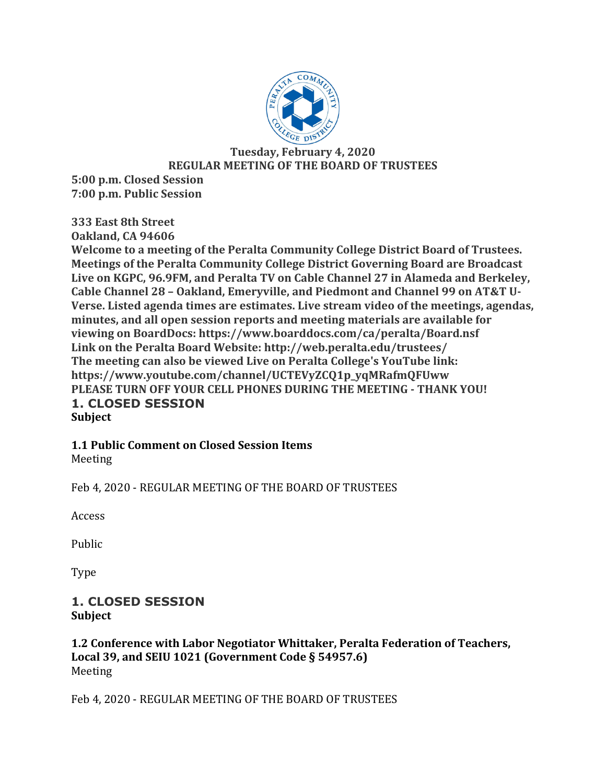

**Tuesday, February 4, 2020 REGULAR MEETING OF THE BOARD OF TRUSTEES** 

**5:00 p.m. Closed Session 7:00 p.m. Public Session**

**333 East 8th Street**

**Oakland, CA 94606** 

Welcome to a meeting of the Peralta Community College District Board of Trustees. **Meetings of the Peralta Community College District Governing Board are Broadcast** Live on KGPC, 96.9FM, and Peralta TV on Cable Channel 27 in Alameda and Berkeley, **Cable Channel 28 - Oakland, Emeryville, and Piedmont and Channel 99 on AT&T U-**Verse. Listed agenda times are estimates. Live stream video of the meetings, agendas, minutes, and all open session reports and meeting materials are available for **viewing on BoardDocs: https://www.boarddocs.com/ca/peralta/Board.nsf** Link on the Peralta Board Website: http://web.peralta.edu/trustees/ **The meeting can also be viewed Live on Peralta College's YouTube link: https://www.youtube.com/channel/UCTEVyZCQ1p\_yqMRafmQFUww PLEASE TURN OFF YOUR CELL PHONES DURING THE MEETING - THANK YOU! 1. CLOSED SESSION Subject**

# **1.1 Public Comment on Closed Session Items**

Meeting

Feb 4, 2020 - REGULAR MEETING OF THE BOARD OF TRUSTEES

Access

Public

Type

# **1. CLOSED SESSION Subject**

# **1.2 Conference with Labor Negotiator Whittaker, Peralta Federation of Teachers,** Local 39, and SEIU 1021 (Government Code § 54957.6) Meeting

Feb 4, 2020 - REGULAR MEETING OF THE BOARD OF TRUSTEES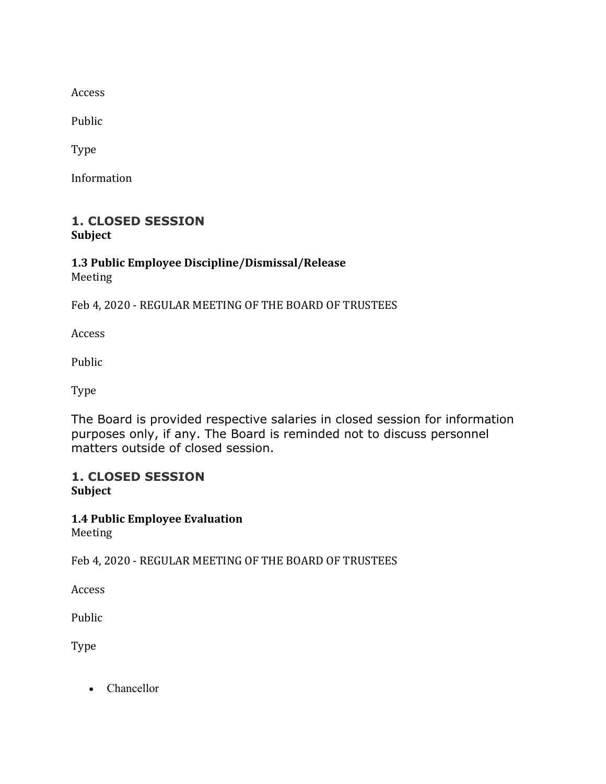Access

Public

Type

Information

# **1. CLOSED SESSION Subject**

# **1.3 Public Employee Discipline/Dismissal/Release** Meeting

Feb 4, 2020 - REGULAR MEETING OF THE BOARD OF TRUSTEES

Access

Public

Type

The Board is provided respective salaries in closed session for information purposes only, if any. The Board is reminded not to discuss personnel matters outside of closed session.

# **1. CLOSED SESSION Subject**

**1.4 Public Employee Evaluation** Meeting

Feb 4, 2020 - REGULAR MEETING OF THE BOARD OF TRUSTEES

Access

Public

Type

• Chancellor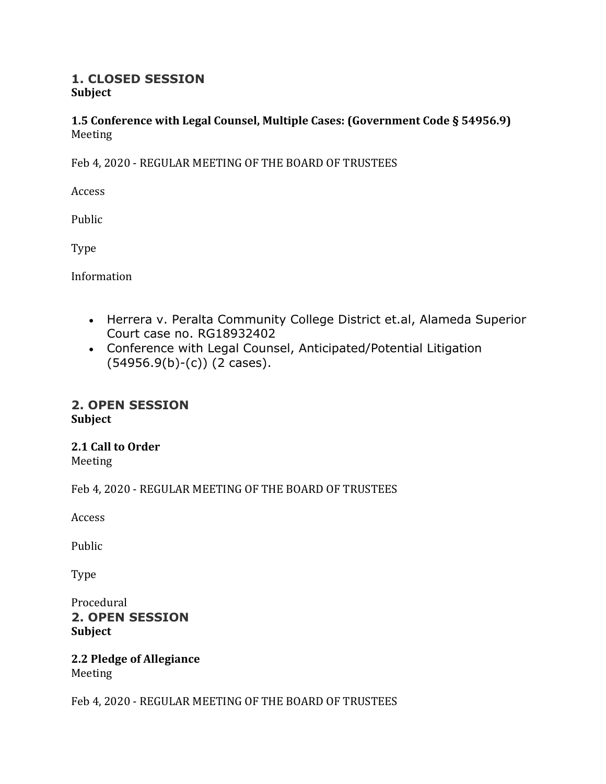# **1. CLOSED SESSION Subject**

# **1.5 Conference with Legal Counsel, Multiple Cases: (Government Code § 54956.9)** Meeting

Feb 4, 2020 - REGULAR MEETING OF THE BOARD OF TRUSTEES

Access

Public

Type

Information

- Herrera v. Peralta Community College District et.al, Alameda Superior Court case no. RG18932402
- Conference with Legal Counsel, Anticipated/Potential Litigation  $(54956.9(b)-(c))$  (2 cases).

# **2. OPEN SESSION Subject**

# **2.1 Call to Order**

Meeting

Feb 4, 2020 - REGULAR MEETING OF THE BOARD OF TRUSTEES

Access

Public

Type

Procedural **2. OPEN SESSION Subject**

**2.2 Pledge of Allegiance** Meeting

Feb 4, 2020 - REGULAR MEETING OF THE BOARD OF TRUSTEES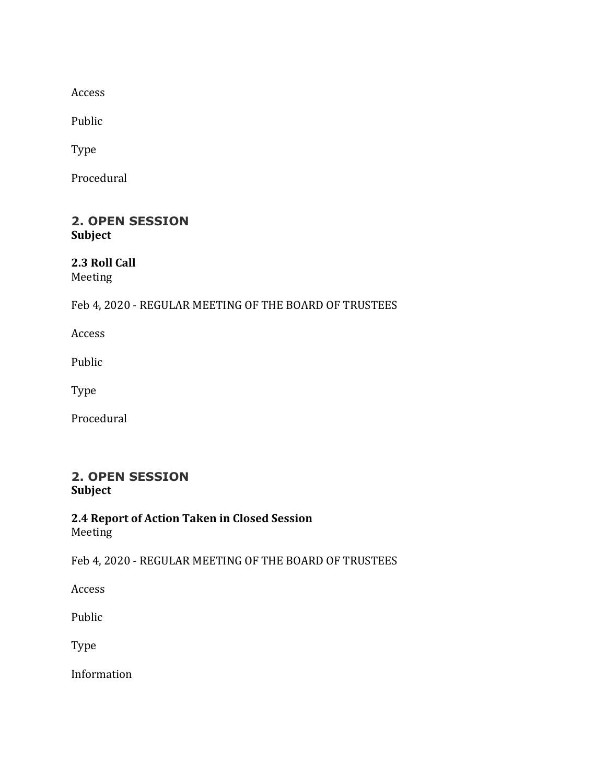Access

Public

Type

Procedural

# **2. OPEN SESSION Subject**

# **2.3 Roll Call**

Meeting

# Feb 4, 2020 - REGULAR MEETING OF THE BOARD OF TRUSTEES

Access

Public

Type

Procedural

# **2. OPEN SESSION Subject**

**2.4 Report of Action Taken in Closed Session** Meeting

Feb 4, 2020 - REGULAR MEETING OF THE BOARD OF TRUSTEES

Access

Public

Type

Information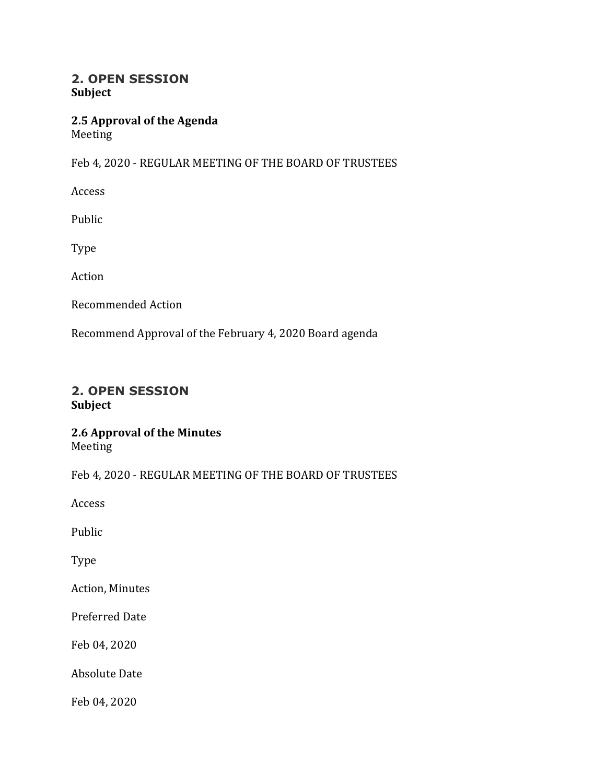# **2. OPEN SESSION Subject**

# **2.5 Approval of the Agenda** Meeting

Feb 4, 2020 - REGULAR MEETING OF THE BOARD OF TRUSTEES

Access

Public

Type

Action

Recommended Action

Recommend Approval of the February 4, 2020 Board agenda

# **2. OPEN SESSION Subject**

# **2.6 Approval of the Minutes**

Meeting

Feb 4, 2020 - REGULAR MEETING OF THE BOARD OF TRUSTEES

Access

Public

Type

**Action, Minutes** 

Preferred Date

Feb 04, 2020

Absolute Date

Feb 04, 2020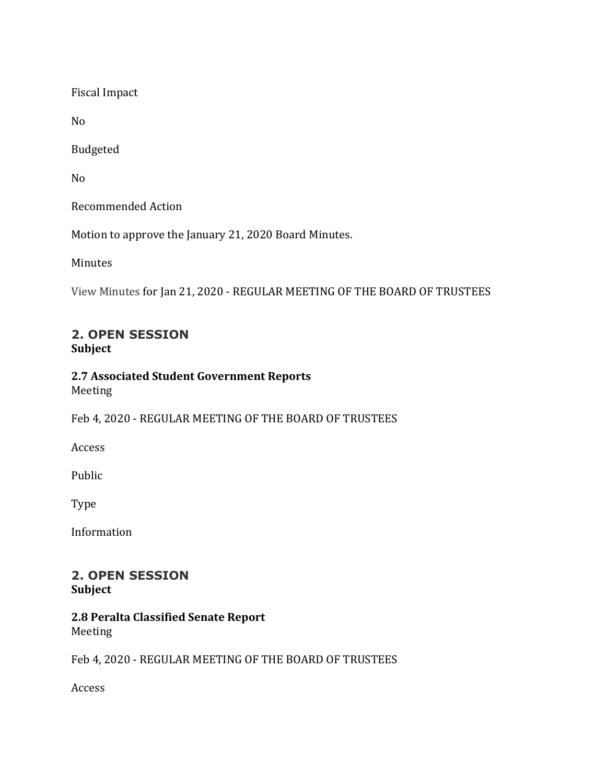Fiscal Impact

No

Budgeted

No

Recommended Action

Motion to approve the January 21, 2020 Board Minutes.

Minutes

View Minutes for Jan 21, 2020 - REGULAR MEETING OF THE BOARD OF TRUSTEES

# **2. OPEN SESSION Subject**

# **2.7 Associated Student Government Reports** Meeting

Feb 4, 2020 - REGULAR MEETING OF THE BOARD OF TRUSTEES

Access

Public

Type

Information

#### **2. OPEN SESSION Subject**

# **2.8 Peralta Classified Senate Report** Meeting

Feb 4, 2020 - REGULAR MEETING OF THE BOARD OF TRUSTEES

Access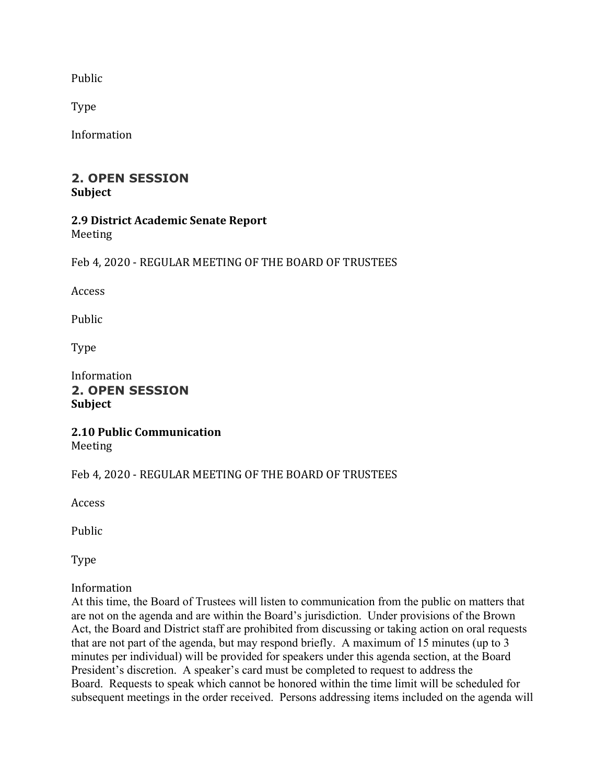Public

Type

Information

# **2. OPEN SESSION Subject**

#### **2.9 District Academic Senate Report** Meeting

Feb 4, 2020 - REGULAR MEETING OF THE BOARD OF TRUSTEES

Access

Public

Type

Information **2. OPEN SESSION Subject**

#### **2.10 Public Communication** Meeting

# Feb 4, 2020 - REGULAR MEETING OF THE BOARD OF TRUSTEES

Access

Public

Type

# Information

At this time, the Board of Trustees will listen to communication from the public on matters that are not on the agenda and are within the Board's jurisdiction. Under provisions of the Brown Act, the Board and District staff are prohibited from discussing or taking action on oral requests that are not part of the agenda, but may respond briefly. A maximum of 15 minutes (up to 3 minutes per individual) will be provided for speakers under this agenda section, at the Board President's discretion. A speaker's card must be completed to request to address the Board. Requests to speak which cannot be honored within the time limit will be scheduled for subsequent meetings in the order received. Persons addressing items included on the agenda will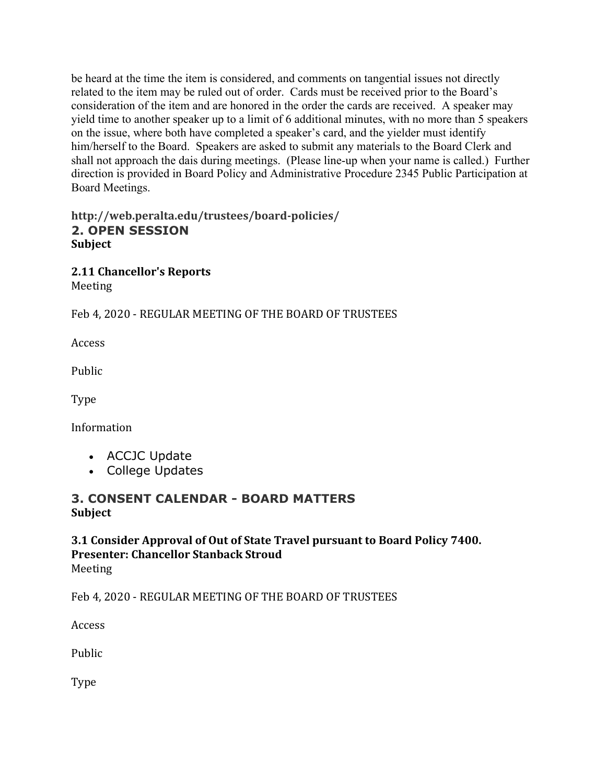be heard at the time the item is considered, and comments on tangential issues not directly related to the item may be ruled out of order. Cards must be received prior to the Board's consideration of the item and are honored in the order the cards are received. A speaker may yield time to another speaker up to a limit of 6 additional minutes, with no more than 5 speakers on the issue, where both have completed a speaker's card, and the yielder must identify him/herself to the Board. Speakers are asked to submit any materials to the Board Clerk and shall not approach the dais during meetings. (Please line-up when your name is called.) Further direction is provided in Board Policy and Administrative Procedure 2345 Public Participation at Board Meetings.

# **http://web.peralta.edu/trustees/board-policies/ 2. OPEN SESSION Subject**

**2.11 Chancellor's Reports** Meeting

Feb 4, 2020 - REGULAR MEETING OF THE BOARD OF TRUSTEES

Access

Public

Type

Information

- ACCJC Update
- College Updates

# **3. CONSENT CALENDAR - BOARD MATTERS Subject**

# **3.1 Consider Approval of Out of State Travel pursuant to Board Policy 7400. Presenter: Chancellor Stanback Stroud** Meeting

Feb 4, 2020 - REGULAR MEETING OF THE BOARD OF TRUSTEES

Access

Public

Type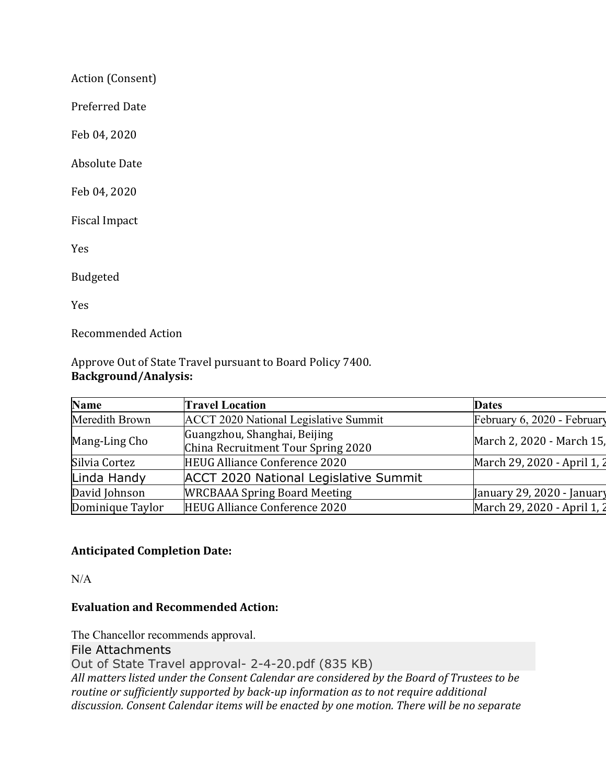Action (Consent)

Preferred Date

Feb 04, 2020

**Absolute Date** 

Feb 04, 2020

Fiscal Impact

Yes

Budgeted

Yes

Recommended Action

Approve Out of State Travel pursuant to Board Policy 7400. **Background/Analysis:**

| <b>Name</b>      | <b>Travel Location</b>                                             | <b>Dates</b>                |
|------------------|--------------------------------------------------------------------|-----------------------------|
| Meredith Brown   | ACCT 2020 National Legislative Summit                              | February 6, 2020 - February |
| Mang-Ling Cho    | Guangzhou, Shanghai, Beijing<br>China Recruitment Tour Spring 2020 | March 2, 2020 - March 15,   |
| Silvia Cortez    | <b>HEUG Alliance Conference 2020</b>                               | March 29, 2020 - April 1, 2 |
| Linda Handy      | <b>ACCT 2020 National Legislative Summit</b>                       |                             |
| David Johnson    | <b>WRCBAAA Spring Board Meeting</b>                                | January 29, 2020 - January  |
| Dominique Taylor | <b>HEUG Alliance Conference 2020</b>                               | March 29, 2020 - April 1, 2 |

# **Anticipated Completion Date:**

 $N/A$ 

# **Evaluation and Recommended Action:**

The Chancellor recommends approval. File Attachments Out of State Travel approval- 2-4-20.pdf (835 KB) All matters listed under the Consent Calendar are considered by the Board of Trustees to be *routine* or sufficiently supported by back-up information as to not require additional discussion. Consent Calendar items will be enacted by one motion. There will be no separate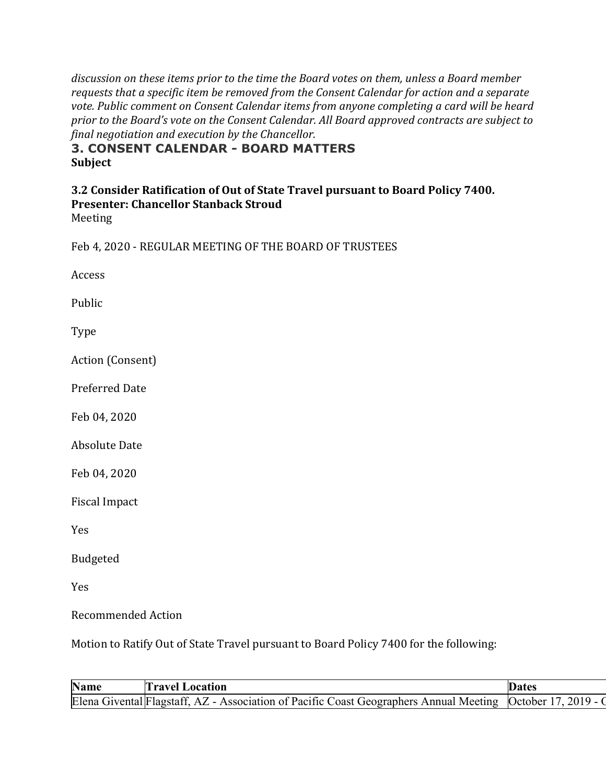discussion on these items prior to the time the Board votes on them, unless a Board member requests that a specific item be removed from the Consent Calendar for action and a separate vote. Public comment on Consent Calendar items from anyone completing a card will be heard prior to the Board's vote on the Consent Calendar. All Board approved contracts are subject to *final negotiation and execution by the Chancellor.*

# **3. CONSENT CALENDAR - BOARD MATTERS Subject**

#### **3.2 Consider Ratification of Out of State Travel pursuant to Board Policy 7400. Presenter: Chancellor Stanback Stroud**

Meeting

Feb 4, 2020 - REGULAR MEETING OF THE BOARD OF TRUSTEES

Access

Public

Type

Action (Consent)

Preferred Date

Feb 04, 2020

Absolute Date

Feb 04, 2020

Fiscal Impact

Yes

Budgeted

Yes

Recommended Action

Motion to Ratify Out of State Travel pursuant to Board Policy 7400 for the following:

| <b>Name</b> | 'ravel Location                                                                        | Jates           |
|-------------|----------------------------------------------------------------------------------------|-----------------|
|             | Elena Givental Flagstaff, AZ - Association of Pacific Coast Geographers Annual Meeting | 2019<br>October |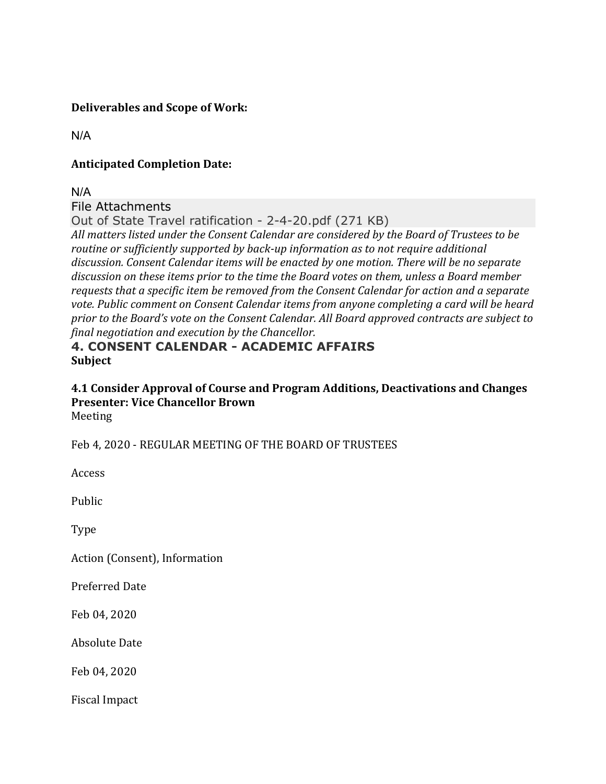# **Deliverables and Scope of Work:**

N/A

# **Anticipated Completion Date:**

N/A

# File Attachments

Out of State Travel ratification - 2-4-20.pdf (271 KB)

All matters listed under the Consent Calendar are considered by the Board of Trustees to be *routine* or sufficiently supported by back-up information as to not require additional discussion. Consent Calendar items will be enacted by one motion. There will be no separate discussion on these items prior to the time the Board votes on them, unless a Board member requests that a specific item be removed from the Consent Calendar for action and a separate vote. Public comment on Consent Calendar items from anyone completing a card will be heard prior to the Board's vote on the Consent Calendar. All Board approved contracts are subject to *final negotiation and execution by the Chancellor.*

# **4. CONSENT CALENDAR - ACADEMIC AFFAIRS Subject**

# **4.1 Consider Approval of Course and Program Additions, Deactivations and Changes Presenter: Vice Chancellor Brown** Meeting

Feb 4, 2020 - REGULAR MEETING OF THE BOARD OF TRUSTEES

Access

Public

Type

Action (Consent), Information

Preferred Date

Feb 04, 2020

Absolute Date

Feb 04, 2020

Fiscal Impact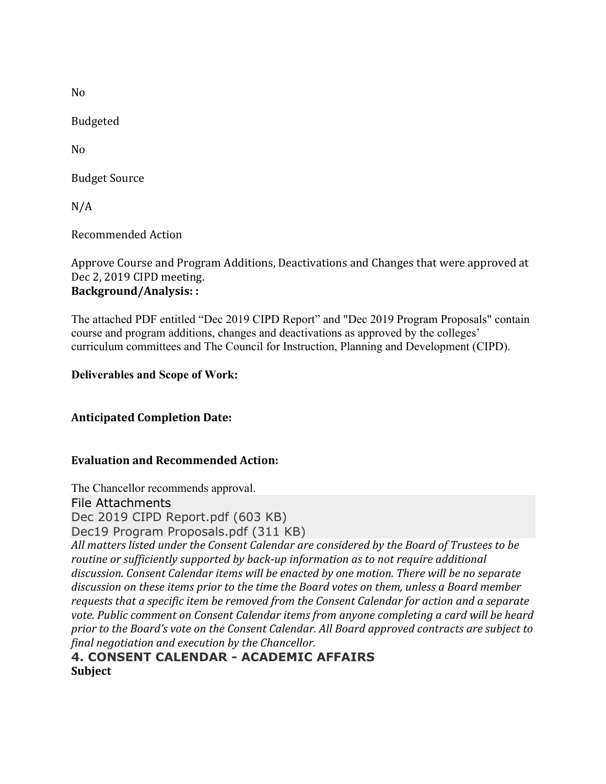No

Budgeted

No

**Budget Source** 

N/A

Recommended Action

Approve Course and Program Additions, Deactivations and Changes that were approved at Dec 2, 2019 CIPD meeting. **Background/Analysis: :**

The attached PDF entitled "Dec 2019 CIPD Report" and "Dec 2019 Program Proposals" contain course and program additions, changes and deactivations as approved by the colleges' curriculum committees and The Council for Instruction, Planning and Development (CIPD).

# **Deliverables and Scope of Work:**

# **Anticipated Completion Date:**

# **Evaluation and Recommended Action:**

The Chancellor recommends approval. File Attachments Dec 2019 CIPD Report.pdf (603 KB) Dec19 Program Proposals.pdf (311 KB) All matters listed under the Consent Calendar are considered by the Board of Trustees to be *routine* or sufficiently supported by back-up information as to not require additional discussion. Consent Calendar *items* will be enacted by one motion. There will be no separate discussion on these items prior to the time the Board votes on them, unless a Board member requests that a specific item be removed from the Consent Calendar for action and a separate vote. Public comment on Consent Calendar items from anyone completing a card will be heard prior to the Board's vote on the Consent Calendar. All Board approved contracts are subject to *final negotiation and execution by the Chancellor.*

**4. CONSENT CALENDAR - ACADEMIC AFFAIRS Subject**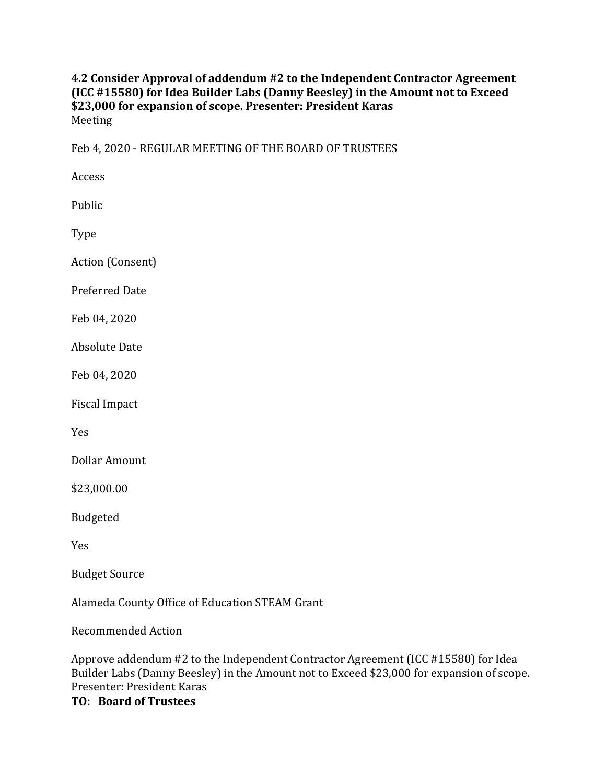# **4.2 Consider Approval of addendum #2 to the Independent Contractor Agreement (ICC #15580)** for Idea Builder Labs (Danny Beesley) in the Amount not to Exceed **\$23,000 for expansion of scope. Presenter: President Karas** Meeting

Feb 4, 2020 - REGULAR MEETING OF THE BOARD OF TRUSTEES

Access

Public

Type

Action (Consent)

Preferred Date

Feb 04, 2020

Absolute Date

Feb 04, 2020

Fiscal Impact

Yes

Dollar Amount

\$23,000.00

Budgeted

Yes

**Budget Source** 

Alameda County Office of Education STEAM Grant

Recommended Action

Approve addendum #2 to the Independent Contractor Agreement (ICC #15580) for Idea Builder Labs (Danny Beesley) in the Amount not to Exceed \$23,000 for expansion of scope. Presenter: President Karas

**TO: Board of Trustees**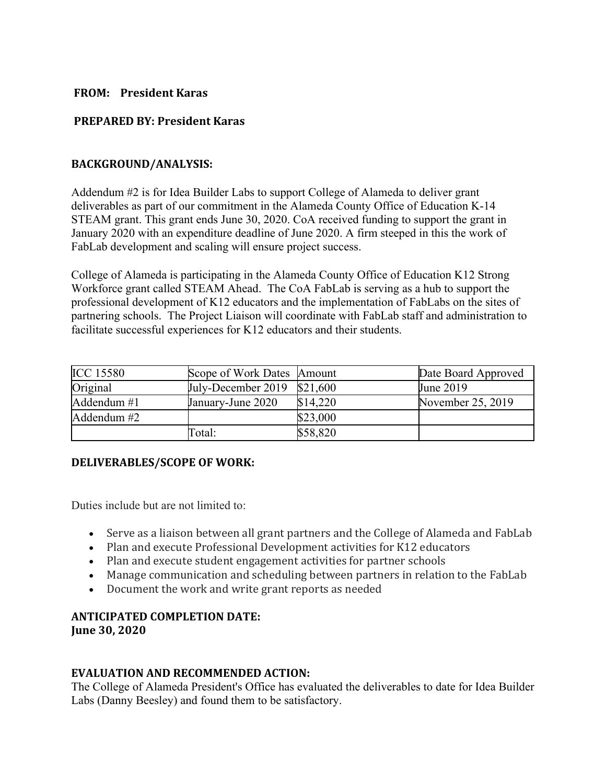#### **FROM: President Karas**

# **PREPARED BY: President Karas**

#### **BACKGROUND/ANALYSIS:**

Addendum #2 is for Idea Builder Labs to support College of Alameda to deliver grant deliverables as part of our commitment in the Alameda County Office of Education K-14 STEAM grant. This grant ends June 30, 2020. CoA received funding to support the grant in January 2020 with an expenditure deadline of June 2020. A firm steeped in this the work of FabLab development and scaling will ensure project success.

College of Alameda is participating in the Alameda County Office of Education K12 Strong Workforce grant called STEAM Ahead. The CoA FabLab is serving as a hub to support the professional development of K12 educators and the implementation of FabLabs on the sites of partnering schools. The Project Liaison will coordinate with FabLab staff and administration to facilitate successful experiences for K12 educators and their students.

| <b>ICC 15580</b> | Scope of Work Dates Amount  |          | Date Board Approved |
|------------------|-----------------------------|----------|---------------------|
| Original         | July-December 2019 \$21,600 |          | June 2019           |
| Addendum #1      | January-June 2020           | \$14,220 | November 25, 2019   |
| Addendum #2      |                             | \$23,000 |                     |
|                  | Fotal:                      | \$58,820 |                     |

#### **DELIVERABLES/SCOPE OF WORK:**

Duties include but are not limited to:

- Serve as a liaison between all grant partners and the College of Alameda and FabLab
- Plan and execute Professional Development activities for K12 educators
- Plan and execute student engagement activities for partner schools
- Manage communication and scheduling between partners in relation to the FabLab
- Document the work and write grant reports as needed

#### **ANTICIPATED COMPLETION DATE: June 30, 2020**

# **EVALUATION AND RECOMMENDED ACTION:**

The College of Alameda President's Office has evaluated the deliverables to date for Idea Builder Labs (Danny Beesley) and found them to be satisfactory.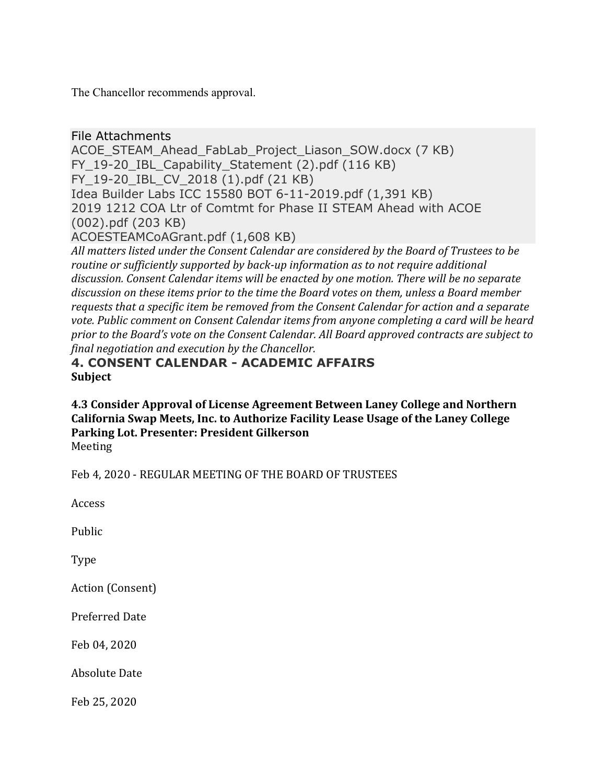The Chancellor recommends approval.

# File Attachments

ACOE\_STEAM\_Ahead\_FabLab\_Project\_Liason\_SOW.docx (7 KB) FY 19-20 IBL Capability Statement (2).pdf (116 KB) FY\_19-20\_IBL\_CV\_2018 (1).pdf (21 KB) Idea Builder Labs ICC 15580 BOT 6-11-2019.pdf (1,391 KB) 2019 1212 COA Ltr of Comtmt for Phase II STEAM Ahead with ACOE (002).pdf (203 KB) ACOESTEAMCoAGrant.pdf (1,608 KB)

All matters listed under the Consent Calendar are considered by the Board of Trustees to be *routine* or sufficiently supported by back-up information as to not require additional discussion. Consent Calendar *items* will be enacted by one motion. There will be no separate discussion on these items prior to the time the Board votes on them, unless a Board member requests that a specific item be removed from the Consent Calendar for action and a separate vote. Public comment on Consent Calendar items from anyone completing a card will be heard *prior* to the Board's vote on the Consent Calendar. All Board approved contracts are subject to *final negotiation and execution by the Chancellor.*

# **4. CONSENT CALENDAR - ACADEMIC AFFAIRS Subject**

**4.3 Consider Approval of License Agreement Between Laney College and Northern**  California Swap Meets, Inc. to Authorize Facility Lease Usage of the Laney College Parking Lot. Presenter: President Gilkerson Meeting

Feb 4, 2020 - REGULAR MEETING OF THE BOARD OF TRUSTEES

Access

Public

Type

Action (Consent)

Preferred Date

Feb 04, 2020

Absolute Date

Feb 25, 2020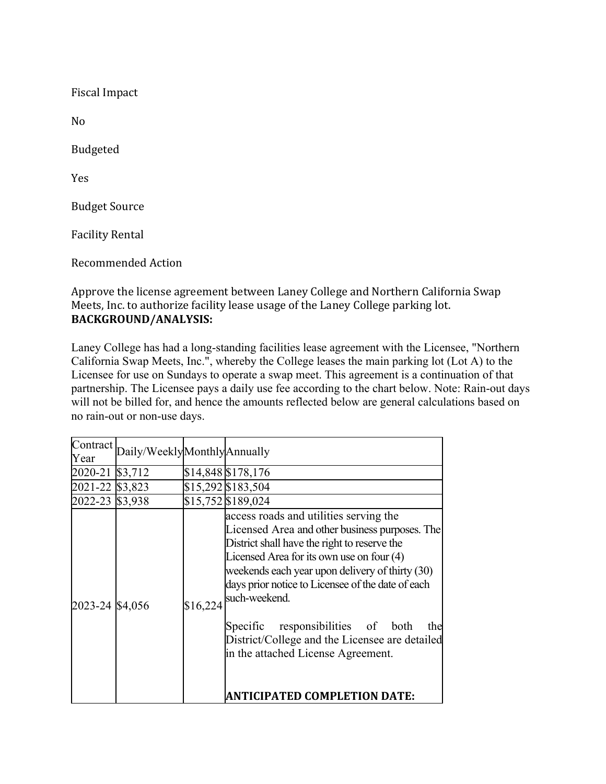Fiscal Impact

No

Budgeted

Yes

**Budget Source** 

Facility Rental

Recommended Action

Approve the license agreement between Laney College and Northern California Swap Meets, Inc. to authorize facility lease usage of the Laney College parking lot. **BACKGROUND/ANALYSIS:**

Laney College has had a long-standing facilities lease agreement with the Licensee, "Northern California Swap Meets, Inc.", whereby the College leases the main parking lot (Lot A) to the Licensee for use on Sundays to operate a swap meet. This agreement is a continuation of that partnership. The Licensee pays a daily use fee according to the chart below. Note: Rain-out days will not be billed for, and hence the amounts reflected below are general calculations based on no rain-out or non-use days.

|                 | Contract Daily/WeeklyMonthlyAnnually |          |                                                                                                                                                                                                                                                                                                                                                                                                                                                                                       |
|-----------------|--------------------------------------|----------|---------------------------------------------------------------------------------------------------------------------------------------------------------------------------------------------------------------------------------------------------------------------------------------------------------------------------------------------------------------------------------------------------------------------------------------------------------------------------------------|
| 2020-21 \$3,712 |                                      |          | \$14,848 \$178,176                                                                                                                                                                                                                                                                                                                                                                                                                                                                    |
| 2021-22 \$3,823 |                                      |          | \$15,292 \$183,504                                                                                                                                                                                                                                                                                                                                                                                                                                                                    |
| 2022-23 \$3,938 |                                      |          | \$15,752 \$189,024                                                                                                                                                                                                                                                                                                                                                                                                                                                                    |
| 2023-24 \$4,056 |                                      | \$16,224 | access roads and utilities serving the<br>Licensed Area and other business purposes. The<br>District shall have the right to reserve the<br>Licensed Area for its own use on four (4)<br>weekends each year upon delivery of thirty (30)<br>days prior notice to Licensee of the date of each<br>such-weekend.<br>responsibilities of both<br>Specific<br>the<br>District/College and the Licensee are detailed<br>in the attached License Agreement.<br>ANTICIPATED COMPLETION DATE: |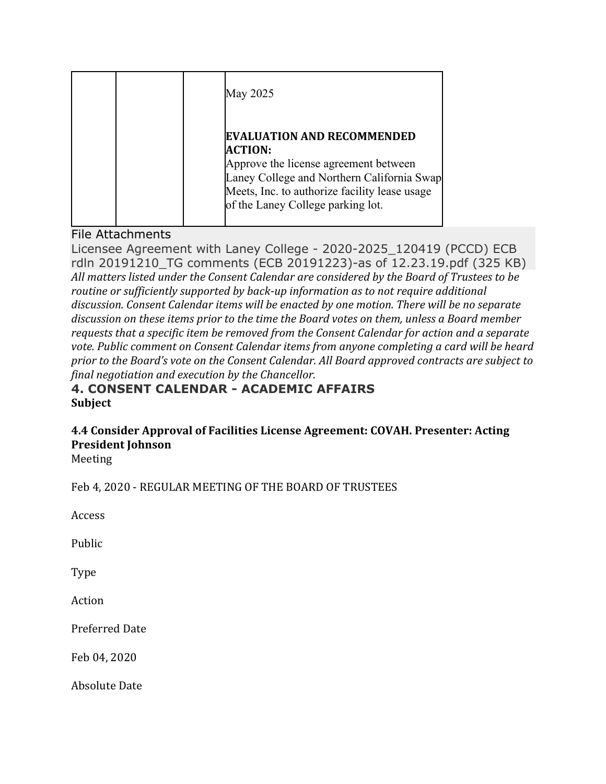| May 2025                                                                                                                                                                                                                         |
|----------------------------------------------------------------------------------------------------------------------------------------------------------------------------------------------------------------------------------|
| <b>EVALUATION AND RECOMMENDED</b><br><b>ACTION:</b><br>Approve the license agreement between<br>Laney College and Northern California Swap<br>Meets, Inc. to authorize facility lease usage<br>of the Laney College parking lot. |

# File Attachments

Licensee Agreement with Laney College - 2020-2025\_120419 (PCCD) ECB rdln 20191210\_TG comments (ECB 20191223)-as of 12.23.19.pdf (325 KB) All matters listed under the Consent Calendar are considered by the Board of Trustees to be *routine* or sufficiently supported by back-up information as to not require additional discussion. Consent Calendar items will be enacted by one motion. There will be no separate discussion on these *items prior to the time the Board votes on them, unless a Board member requests that a specific item be removed from the Consent Calendar for action and a separate* vote. Public comment on Consent Calendar items from anyone completing a card will be heard prior to the Board's vote on the Consent Calendar. All Board approved contracts are subject to *final negotiation and execution by the Chancellor.*

# **4. CONSENT CALENDAR - ACADEMIC AFFAIRS Subject**

# **4.4 Consider Approval of Facilities License Agreement: COVAH. Presenter: Acting President Johnson**

Meeting

Feb 4, 2020 - REGULAR MEETING OF THE BOARD OF TRUSTEES

Access

Public

Type

Action

Preferred Date

Feb 04, 2020

**Absolute Date**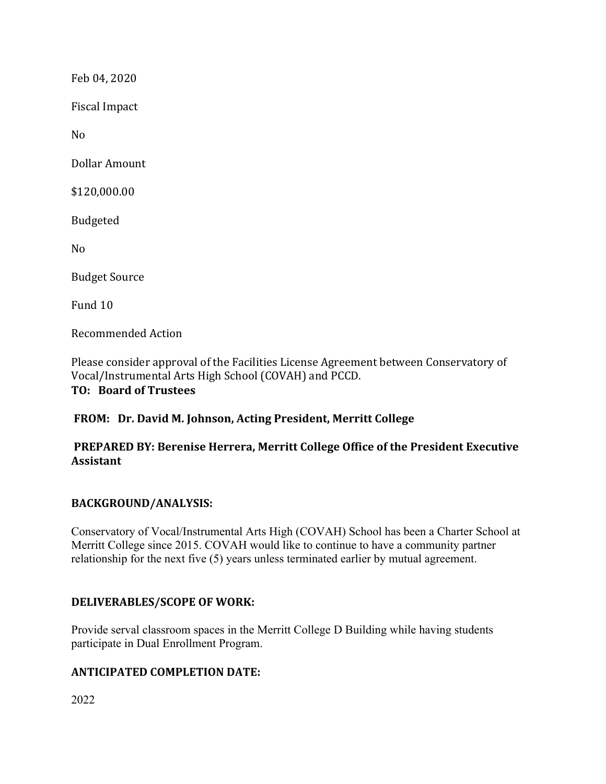Feb 04, 2020

Fiscal Impact

No

Dollar Amount

\$120,000.00

Budgeted

No

**Budget Source** 

Fund 10

Recommended Action

Please consider approval of the Facilities License Agreement between Conservatory of Vocal/Instrumental Arts High School (COVAH) and PCCD. **TO: Board of Trustees**

# **FROM: Dr. David M. Johnson, Acting President, Merritt College**

# **PREPARED BY: Berenise Herrera, Merritt College Office of the President Executive Assistant**

# **BACKGROUND/ANALYSIS:**

Conservatory of Vocal/Instrumental Arts High (COVAH) School has been a Charter School at Merritt College since 2015. COVAH would like to continue to have a community partner relationship for the next five (5) years unless terminated earlier by mutual agreement.

# **DELIVERABLES/SCOPE OF WORK:**

Provide serval classroom spaces in the Merritt College D Building while having students participate in Dual Enrollment Program.

# **ANTICIPATED COMPLETION DATE:**

2022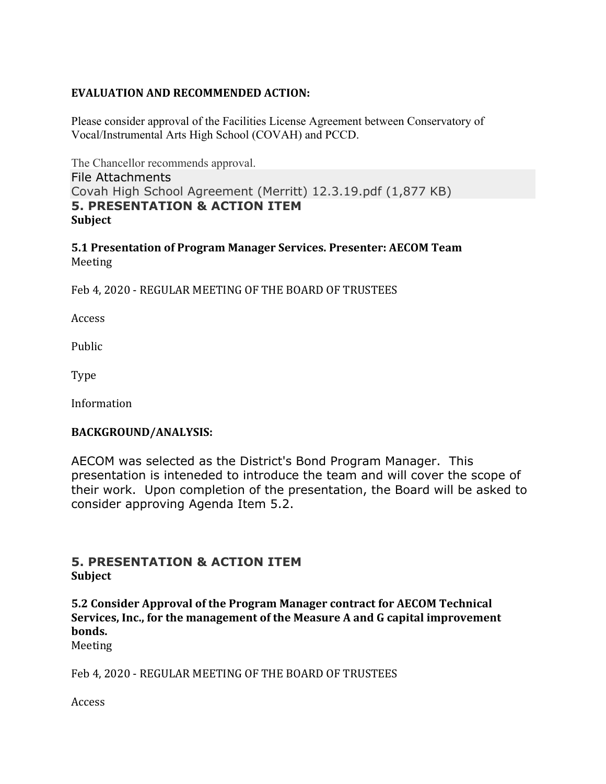# **EVALUATION AND RECOMMENDED ACTION:**

Please consider approval of the Facilities License Agreement between Conservatory of Vocal/Instrumental Arts High School (COVAH) and PCCD.

The Chancellor recommends approval. File Attachments Covah High School Agreement (Merritt) 12.3.19.pdf (1,877 KB) **5. PRESENTATION & ACTION ITEM Subject**

**5.1 Presentation of Program Manager Services. Presenter: AECOM Team** Meeting

Feb 4, 2020 - REGULAR MEETING OF THE BOARD OF TRUSTEES

Access

Public

Type

Information

# **BACKGROUND/ANALYSIS:**

AECOM was selected as the District's Bond Program Manager. This presentation is inteneded to introduce the team and will cover the scope of their work. Upon completion of the presentation, the Board will be asked to consider approving Agenda Item 5.2.

# **5. PRESENTATION & ACTION ITEM Subject**

**5.2 Consider Approval of the Program Manager contract for AECOM Technical Services, Inc., for the management of the Measure A and G capital improvement bonds.**

Meeting

Feb 4, 2020 - REGULAR MEETING OF THE BOARD OF TRUSTEES

Access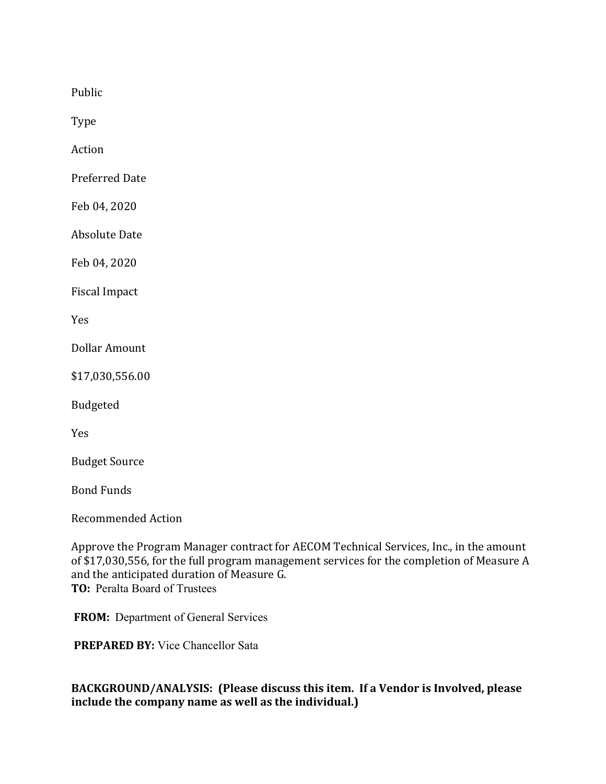Public

Type

Action

Preferred Date

Feb 04, 2020

Absolute Date

Feb 04, 2020

Fiscal Impact

Yes

Dollar Amount

\$17,030,556.00

Budgeted

Yes

**Budget Source** 

Bond Funds

Recommended Action

Approve the Program Manager contract for AECOM Technical Services, Inc., in the amount of \$17,030,556, for the full program management services for the completion of Measure A and the anticipated duration of Measure G. **TO:** Peralta Board of Trustees

**FROM:** Department of General Services

**PREPARED BY:** Vice Chancellor Sata

# **BACKGROUND/ANALYSIS: (Please discuss this item. If a Vendor is Involved, please include the company name as well as the individual.)**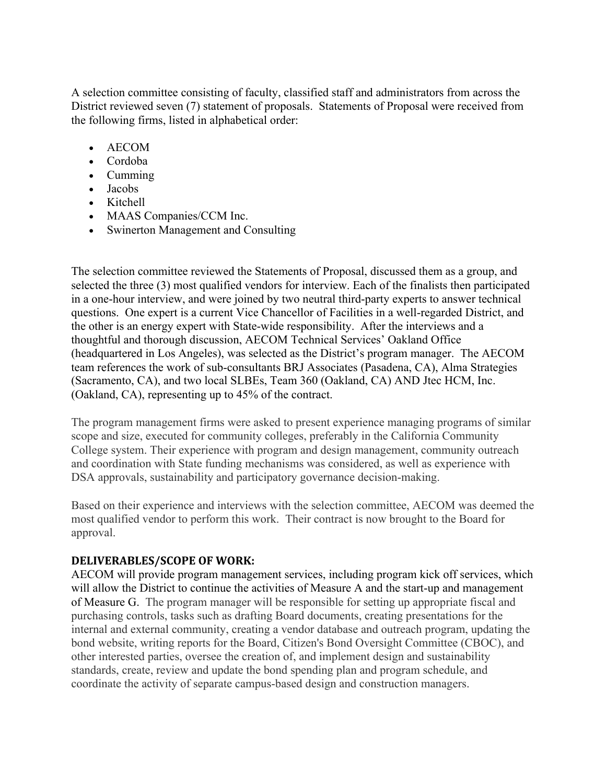A selection committee consisting of faculty, classified staff and administrators from across the District reviewed seven (7) statement of proposals. Statements of Proposal were received from the following firms, listed in alphabetical order:

- AECOM
- Cordoba
- Cumming
- Jacobs
- Kitchell
- MAAS Companies/CCM Inc.
- Swinerton Management and Consulting

The selection committee reviewed the Statements of Proposal, discussed them as a group, and selected the three (3) most qualified vendors for interview. Each of the finalists then participated in a one-hour interview, and were joined by two neutral third-party experts to answer technical questions. One expert is a current Vice Chancellor of Facilities in a well-regarded District, and the other is an energy expert with State-wide responsibility. After the interviews and a thoughtful and thorough discussion, AECOM Technical Services' Oakland Office (headquartered in Los Angeles), was selected as the District's program manager. The AECOM team references the work of sub-consultants BRJ Associates (Pasadena, CA), Alma Strategies (Sacramento, CA), and two local SLBEs, Team 360 (Oakland, CA) AND Jtec HCM, Inc. (Oakland, CA), representing up to 45% of the contract.

The program management firms were asked to present experience managing programs of similar scope and size, executed for community colleges, preferably in the California Community College system. Their experience with program and design management, community outreach and coordination with State funding mechanisms was considered, as well as experience with DSA approvals, sustainability and participatory governance decision-making.

Based on their experience and interviews with the selection committee, AECOM was deemed the most qualified vendor to perform this work. Their contract is now brought to the Board for approval.

# **DELIVERABLES/SCOPE OF WORK:**

AECOM will provide program management services, including program kick off services, which will allow the District to continue the activities of Measure A and the start-up and management of Measure G. The program manager will be responsible for setting up appropriate fiscal and purchasing controls, tasks such as drafting Board documents, creating presentations for the internal and external community, creating a vendor database and outreach program, updating the bond website, writing reports for the Board, Citizen's Bond Oversight Committee (CBOC), and other interested parties, oversee the creation of, and implement design and sustainability standards, create, review and update the bond spending plan and program schedule, and coordinate the activity of separate campus-based design and construction managers.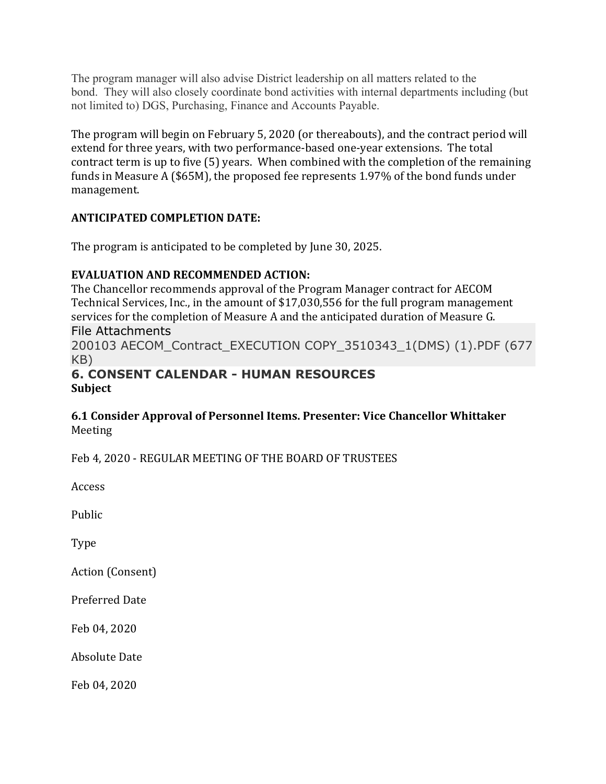The program manager will also advise District leadership on all matters related to the bond. They will also closely coordinate bond activities with internal departments including (but not limited to) DGS, Purchasing, Finance and Accounts Payable.

The program will begin on February 5, 2020 (or thereabouts), and the contract period will extend for three years, with two performance-based one-year extensions. The total contract term is up to five (5) years. When combined with the completion of the remaining funds in Measure A (\$65M), the proposed fee represents 1.97% of the bond funds under management.

# **ANTICIPATED COMPLETION DATE:**

The program is anticipated to be completed by June 30, 2025.

# **EVALUATION AND RECOMMENDED ACTION:**

The Chancellor recommends approval of the Program Manager contract for AECOM Technical Services, Inc., in the amount of \$17,030,556 for the full program management services for the completion of Measure A and the anticipated duration of Measure G.

# File Attachments

200103 AECOM\_Contract\_EXECUTION COPY\_3510343\_1(DMS) (1).PDF (677 KB)

# **6. CONSENT CALENDAR - HUMAN RESOURCES Subject**

# **6.1 Consider Approval of Personnel Items. Presenter: Vice Chancellor Whittaker** Meeting

Feb 4, 2020 - REGULAR MEETING OF THE BOARD OF TRUSTEES

Access

Public

Type

Action (Consent)

Preferred Date

Feb 04, 2020

Absolute Date

Feb 04, 2020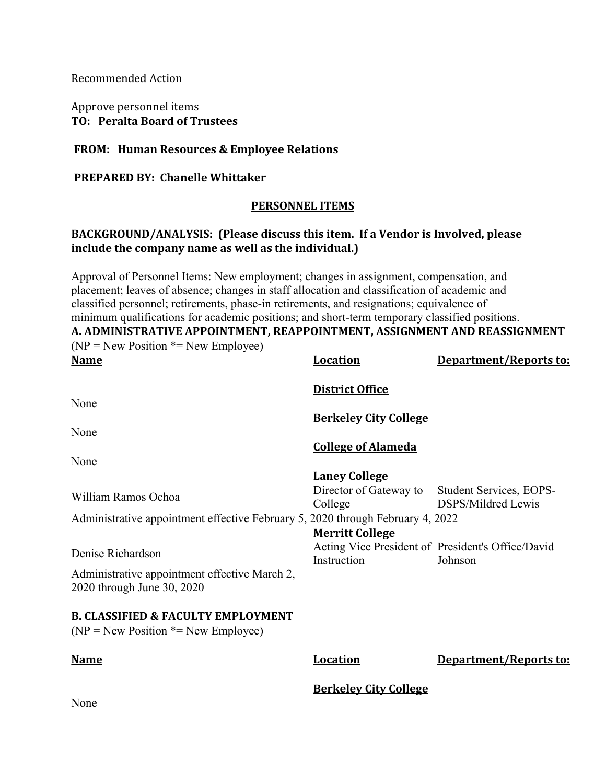Recommended Action

Approve personnel items **TO: Peralta Board of Trustees**

#### **FROM: Human Resources & Employee Relations**

#### **PREPARED BY: Chanelle Whittaker**

#### **PERSONNEL ITEMS**

# **BACKGROUND/ANALYSIS: (Please discuss this item. If a Vendor is Involved, please include the company name as well as the individual.)**

Approval of Personnel Items: New employment; changes in assignment, compensation, and placement; leaves of absence; changes in staff allocation and classification of academic and classified personnel; retirements, phase-in retirements, and resignations; equivalence of minimum qualifications for academic positions; and short-term temporary classified positions. **A. ADMINISTRATIVE APPOINTMENT, REAPPOINTMENT, ASSIGNMENT AND REASSIGNMENT**  $(NP = New Position * = New Employee)$ 

| <b>Name</b>                                                                             | <b>Location</b>                                                                            | Department/Reports to:                               |
|-----------------------------------------------------------------------------------------|--------------------------------------------------------------------------------------------|------------------------------------------------------|
|                                                                                         | <b>District Office</b>                                                                     |                                                      |
| None                                                                                    | <b>Berkeley City College</b>                                                               |                                                      |
| None                                                                                    | <b>College of Alameda</b>                                                                  |                                                      |
| None                                                                                    |                                                                                            |                                                      |
| William Ramos Ochoa                                                                     | <b>Laney College</b><br>Director of Gateway to<br>College                                  | Student Services, EOPS-<br><b>DSPS/Mildred Lewis</b> |
| Administrative appointment effective February 5, 2020 through February 4, 2022          |                                                                                            |                                                      |
| Denise Richardson                                                                       | <b>Merritt College</b><br>Acting Vice President of President's Office/David<br>Instruction | Johnson                                              |
| Administrative appointment effective March 2,<br>2020 through June 30, 2020             |                                                                                            |                                                      |
| <b>B. CLASSIFIED &amp; FACULTY EMPLOYMENT</b><br>$(NP = New Position * = New Employee)$ |                                                                                            |                                                      |
| <b>Name</b>                                                                             | <b>Location</b>                                                                            | Department/Reports to:                               |
| T                                                                                       | <b>Berkeley City College</b>                                                               |                                                      |

None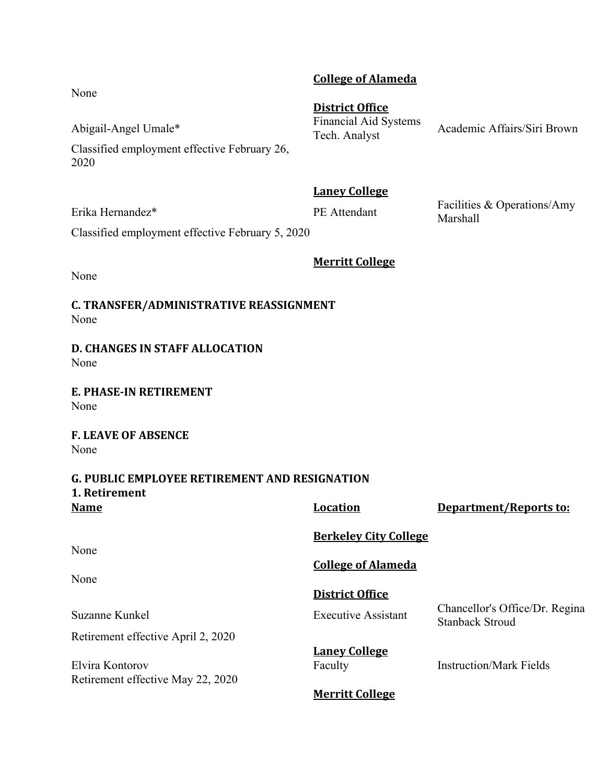# **College of Alameda**

**District Office** Abigail-Angel Umale\* Financial Aid Systems<br>Tech. Analyst

Academic Affairs/Siri Brown

Classified employment effective February 26, 2020

**Laney College**

Erika Hernandez\* **PE Attendant** Facilities & Operations/Amy Marshall

Classified employment effective February 5, 2020

**Merritt College**

None

**C. TRANSFER/ADMINISTRATIVE REASSIGNMENT** None

**D. CHANGES IN STAFF ALLOCATION** None

**E. PHASE-IN RETIREMENT** None

**F. LEAVE OF ABSENCE** None

#### **G. PUBLIC EMPLOYEE RETIREMENT AND RESIGNATION 1. Retirement Name Location Department/Reports to:**

| Naille                             | LUCALIOII                    | Department/Reports to:                                   |
|------------------------------------|------------------------------|----------------------------------------------------------|
|                                    | <b>Berkeley City College</b> |                                                          |
| None                               |                              |                                                          |
|                                    | <b>College of Alameda</b>    |                                                          |
| None                               |                              |                                                          |
|                                    | District Office              |                                                          |
| Suzanne Kunkel                     | <b>Executive Assistant</b>   | Chancellor's Office/Dr. Regina<br><b>Stanback Stroud</b> |
| Retirement effective April 2, 2020 |                              |                                                          |
|                                    | <b>Laney College</b>         |                                                          |
| Elvira Kontorov                    | Faculty                      | <b>Instruction/Mark Fields</b>                           |
| Retirement effective May 22, 2020  |                              |                                                          |
|                                    | <b>Merritt College</b>       |                                                          |

None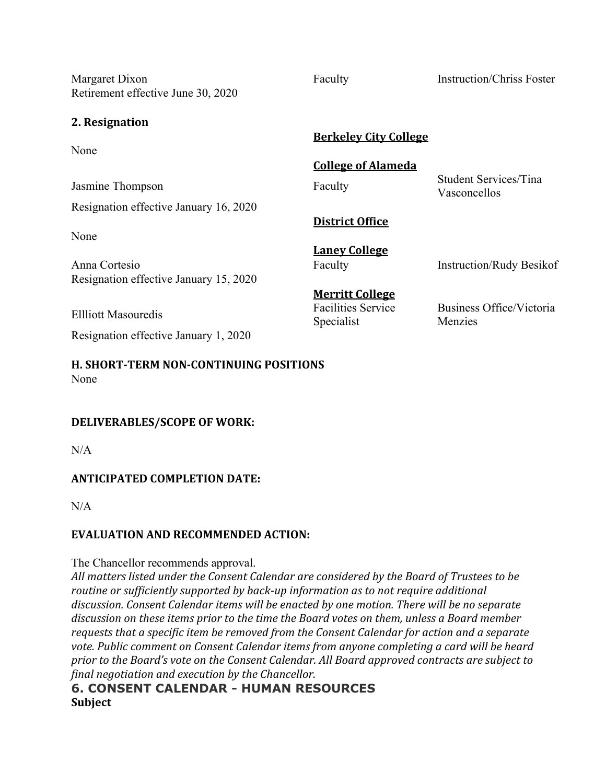Margaret Dixon Faculty Faculty Instruction/Chriss Foster Retirement effective June 30, 2020

**2. Resignation**

**Berkeley City College** None **College of Alameda** Jasmine Thompson Faculty Faculty Student Services/Tina Vasconcellos Resignation effective January 16, 2020 **District Office** None **Laney College** Anna Cortesio Faculty Faculty Instruction/Rudy Besikof Resignation effective January 15, 2020 **Merritt College** Ellliott Masouredis Facilities Service Specialist Business Office/Victoria Menzies Resignation effective January 1, 2020

**H. SHORT-TERM NON-CONTINUING POSITIONS** None

# **DELIVERABLES/SCOPE OF WORK:**

 $N/A$ 

# **ANTICIPATED COMPLETION DATE:**

 $N/A$ 

# **EVALUATION AND RECOMMENDED ACTION:**

The Chancellor recommends approval.

All matters listed under the Consent Calendar are considered by the Board of Trustees to be *routine* or sufficiently supported by back-up information as to not require additional discussion. Consent Calendar items will be enacted by one motion. There will be no separate discussion on these items prior to the time the Board votes on them, unless a Board member *requests that a specific item be removed from the Consent Calendar for action and a separate* vote. Public comment on Consent Calendar items from anyone completing a card will be heard prior to the Board's vote on the Consent Calendar. All Board approved contracts are subject to *final negotiation and execution by the Chancellor.*

# **6. CONSENT CALENDAR - HUMAN RESOURCES Subject**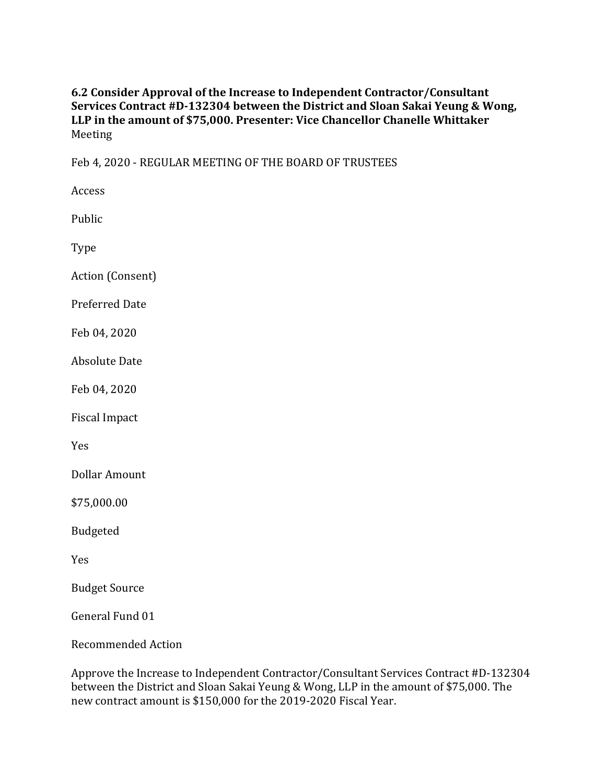# **6.2 Consider Approval of the Increase to Independent Contractor/Consultant Services Contract #D-132304 between the District and Sloan Sakai Yeung & Wong,** LLP in the amount of \$75,000. Presenter: Vice Chancellor Chanelle Whittaker Meeting

Feb 4, 2020 - REGULAR MEETING OF THE BOARD OF TRUSTEES

Access Public Type Action (Consent) Preferred Date Feb 04, 2020 Absolute Date Feb 04, 2020 Fiscal Impact Yes Dollar Amount \$75,000.00 Budgeted

Yes

**Budget Source** 

General Fund 01

Recommended Action

Approve the Increase to Independent Contractor/Consultant Services Contract #D-132304 between the District and Sloan Sakai Yeung & Wong, LLP in the amount of \$75,000. The new contract amount is \$150,000 for the 2019-2020 Fiscal Year.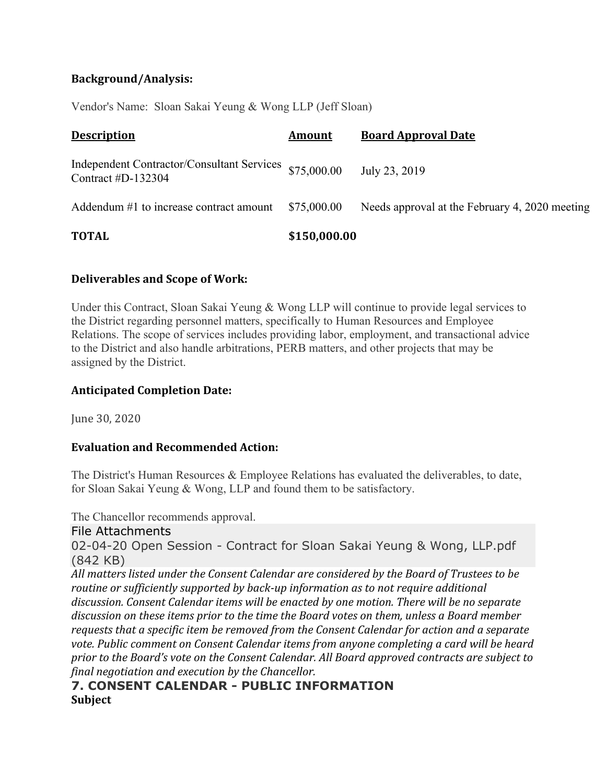# **Background/Analysis:**

Vendor's Name: Sloan Sakai Yeung & Wong LLP (Jeff Sloan)

| <b>Description</b>                                                           | <b>Amount</b> | <b>Board Approval Date</b>                     |
|------------------------------------------------------------------------------|---------------|------------------------------------------------|
| Independent Contractor/Consultant Services \$75,000.00<br>Contract #D-132304 |               | July 23, 2019                                  |
| Addendum #1 to increase contract amount                                      | \$75,000.00   | Needs approval at the February 4, 2020 meeting |
| <b>TOTAL</b>                                                                 | \$150,000.00  |                                                |

#### **Deliverables and Scope of Work:**

Under this Contract, Sloan Sakai Yeung & Wong LLP will continue to provide legal services to the District regarding personnel matters, specifically to Human Resources and Employee Relations. The scope of services includes providing labor, employment, and transactional advice to the District and also handle arbitrations, PERB matters, and other projects that may be assigned by the District.

#### **Anticipated Completion Date:**

June 30, 2020

# **Evaluation and Recommended Action:**

The District's Human Resources & Employee Relations has evaluated the deliverables, to date, for Sloan Sakai Yeung & Wong, LLP and found them to be satisfactory.

The Chancellor recommends approval.

File Attachments

02-04-20 Open Session - Contract for Sloan Sakai Yeung & Wong, LLP.pdf (842 KB)

All matters listed under the Consent Calendar are considered by the Board of Trustees to be *routine* or sufficiently supported by back-up information as to not require additional discussion. Consent Calendar *items* will be enacted by one motion. There will be no separate discussion on these items prior to the time the Board votes on them, unless a Board member requests that a specific item be removed from the Consent Calendar for action and a separate vote. Public comment on Consent Calendar items from anyone completing a card will be heard *prior* to the Board's vote on the Consent Calendar. All Board approved contracts are subject to *final negotiation and execution by the Chancellor.*

# **7. CONSENT CALENDAR - PUBLIC INFORMATION Subject**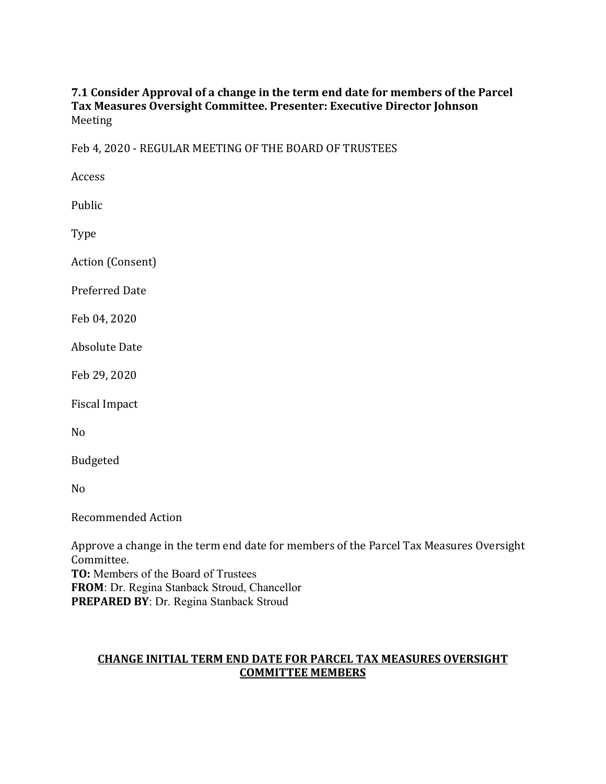# **7.1 Consider Approval of a change in the term end date for members of the Parcel Tax Measures Oversight Committee. Presenter: Executive Director Johnson** Meeting

Feb 4, 2020 - REGULAR MEETING OF THE BOARD OF TRUSTEES

Access

Public

Type

Action (Consent)

Preferred Date

Feb 04, 2020

Absolute Date

Feb 29, 2020

Fiscal Impact

No

Budgeted

No

Recommended Action

Approve a change in the term end date for members of the Parcel Tax Measures Oversight Committee. **TO:** Members of the Board of Trustees **FROM**: Dr. Regina Stanback Stroud, Chancellor **PREPARED BY**: Dr. Regina Stanback Stroud

# **CHANGE INITIAL TERM END DATE FOR PARCEL TAX MEASURES OVERSIGHT COMMITTEE MEMBERS**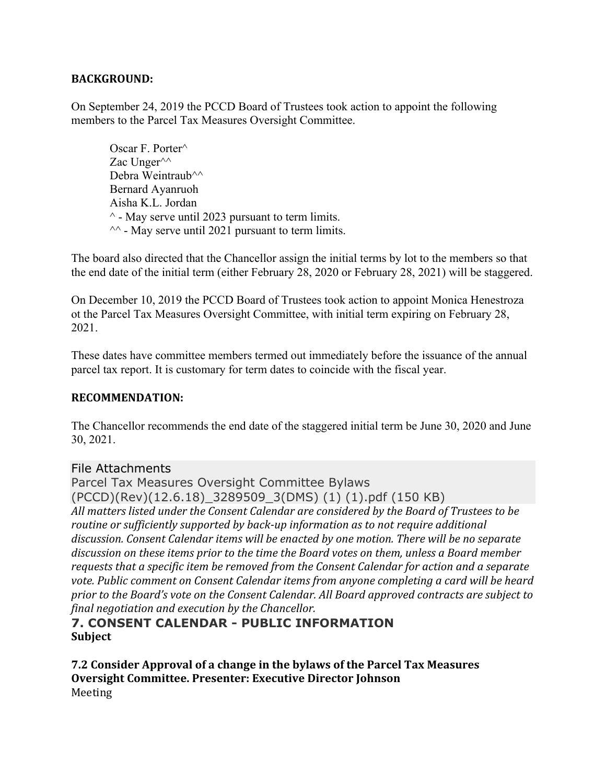# **BACKGROUND:**

On September 24, 2019 the PCCD Board of Trustees took action to appoint the following members to the Parcel Tax Measures Oversight Committee.

Oscar F. Porter^ Zac Unger<sup> $\wedge\wedge$ </sup> Debra Weintraub<sup>^^</sup> Bernard Ayanruoh Aisha K.L. Jordan  $^{\wedge}$  - May serve until 2023 pursuant to term limits.  $\sim$  - May serve until 2021 pursuant to term limits.

The board also directed that the Chancellor assign the initial terms by lot to the members so that the end date of the initial term (either February 28, 2020 or February 28, 2021) will be staggered.

On December 10, 2019 the PCCD Board of Trustees took action to appoint Monica Henestroza ot the Parcel Tax Measures Oversight Committee, with initial term expiring on February 28, 2021.

These dates have committee members termed out immediately before the issuance of the annual parcel tax report. It is customary for term dates to coincide with the fiscal year.

#### **RECOMMENDATION:**

The Chancellor recommends the end date of the staggered initial term be June 30, 2020 and June 30, 2021.

# File Attachments

Parcel Tax Measures Oversight Committee Bylaws (PCCD)(Rev)(12.6.18)\_3289509\_3(DMS) (1) (1).pdf (150 KB) All matters listed under the Consent Calendar are considered by the Board of Trustees to be *routine* or sufficiently supported by back-up information as to not require additional discussion. Consent Calendar items will be enacted by one motion. There will be no separate discussion on these items prior to the time the Board votes on them, unless a Board member requests that a specific item be removed from the Consent Calendar for action and a separate vote. Public comment on Consent Calendar items from anyone completing a card will be heard prior to the Board's vote on the Consent Calendar. All Board approved contracts are subject to *final negotiation and execution by the Chancellor.*

# **7. CONSENT CALENDAR - PUBLIC INFORMATION Subject**

**7.2 Consider Approval of a change in the bylaws of the Parcel Tax Measures Oversight Committee. Presenter: Executive Director Johnson** Meeting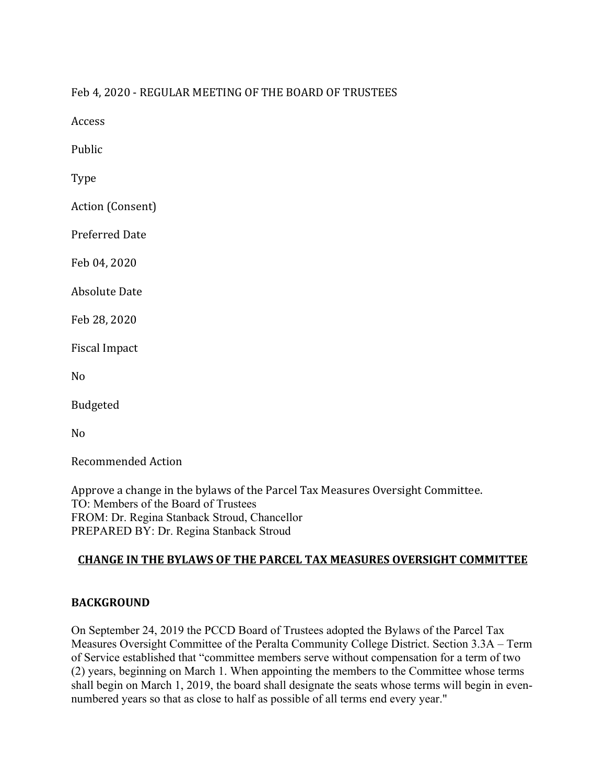Feb 4, 2020 - REGULAR MEETING OF THE BOARD OF TRUSTEES

Access

Public

Type

Action (Consent)

Preferred Date

Feb 04, 2020

Absolute Date

Feb 28, 2020

Fiscal Impact

No

Budgeted

No

Recommended Action

Approve a change in the bylaws of the Parcel Tax Measures Oversight Committee. TO: Members of the Board of Trustees FROM: Dr. Regina Stanback Stroud, Chancellor PREPARED BY: Dr. Regina Stanback Stroud

# **CHANGE IN THE BYLAWS OF THE PARCEL TAX MEASURES OVERSIGHT COMMITTEE**

# **BACKGROUND**

On September 24, 2019 the PCCD Board of Trustees adopted the Bylaws of the Parcel Tax Measures Oversight Committee of the Peralta Community College District. Section 3.3A – Term of Service established that "committee members serve without compensation for a term of two (2) years, beginning on March 1. When appointing the members to the Committee whose terms shall begin on March 1, 2019, the board shall designate the seats whose terms will begin in evennumbered years so that as close to half as possible of all terms end every year."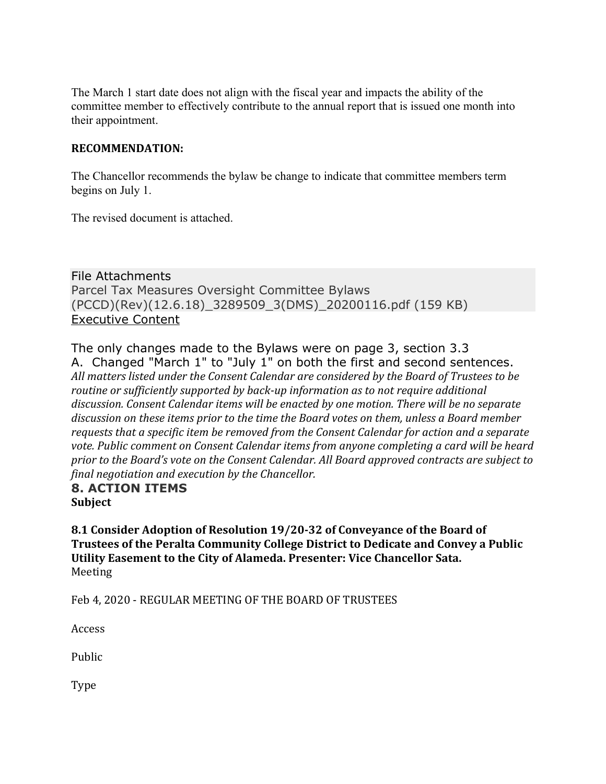The March 1 start date does not align with the fiscal year and impacts the ability of the committee member to effectively contribute to the annual report that is issued one month into their appointment.

#### **RECOMMENDATION:**

The Chancellor recommends the bylaw be change to indicate that committee members term begins on July 1.

The revised document is attached.

File Attachments Parcel Tax Measures Oversight Committee Bylaws (PCCD)(Rev)(12.6.18)\_3289509\_3(DMS)\_20200116.pdf (159 KB) Executive Content

The only changes made to the Bylaws were on page 3, section 3.3 A. Changed "March 1" to "July 1" on both the first and second sentences. All matters listed under the Consent Calendar are considered by the Board of Trustees to be *routine* or sufficiently supported by back-up information as to not require additional discussion. Consent Calendar *items* will be enacted by one motion. There will be no separate discussion on these items prior to the time the Board votes on them, unless a Board member requests that a specific item be removed from the Consent Calendar for action and a separate vote. Public comment on Consent Calendar items from anyone completing a card will be heard prior to the Board's vote on the Consent Calendar. All Board approved contracts are subject to *final negotiation and execution by the Chancellor.*

#### **8. ACTION ITEMS Subject**

**8.1 Consider Adoption of Resolution 19/20-32 of Conveyance of the Board of Trustees of the Peralta Community College District to Dedicate and Convey a Public** Utility Easement to the City of Alameda. Presenter: Vice Chancellor Sata. Meeting

Feb 4, 2020 - REGULAR MEETING OF THE BOARD OF TRUSTEES

Access

Public

Type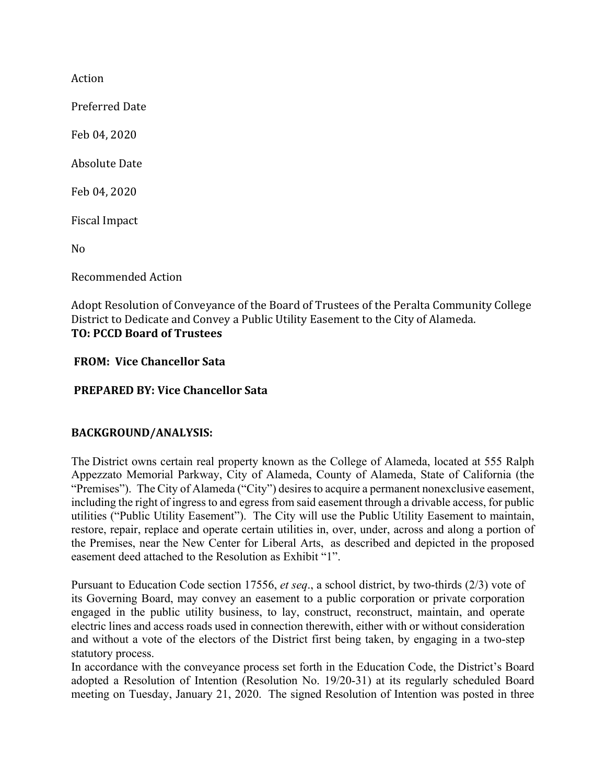Action

Preferred Date

Feb 04, 2020

Absolute Date

Feb 04, 2020

Fiscal Impact

No

Recommended Action

Adopt Resolution of Conveyance of the Board of Trustees of the Peralta Community College District to Dedicate and Convey a Public Utility Easement to the City of Alameda. **TO: PCCD Board of Trustees**

#### **FROM: Vice Chancellor Sata**

**PREPARED BY: Vice Chancellor Sata**

# **BACKGROUND/ANALYSIS:**

The District owns certain real property known as the College of Alameda, located at 555 Ralph Appezzato Memorial Parkway, City of Alameda, County of Alameda, State of California (the "Premises"). The City of Alameda ("City") desires to acquire a permanent nonexclusive easement, including the right of ingress to and egress from said easement through a drivable access, for public utilities ("Public Utility Easement"). The City will use the Public Utility Easement to maintain, restore, repair, replace and operate certain utilities in, over, under, across and along a portion of the Premises, near the New Center for Liberal Arts, as described and depicted in the proposed easement deed attached to the Resolution as Exhibit "1".

Pursuant to Education Code section 17556, *et seq*., a school district, by two-thirds (2/3) vote of its Governing Board, may convey an easement to a public corporation or private corporation engaged in the public utility business, to lay, construct, reconstruct, maintain, and operate electric lines and access roads used in connection therewith, either with or without consideration and without a vote of the electors of the District first being taken, by engaging in a two-step statutory process.

In accordance with the conveyance process set forth in the Education Code, the District's Board adopted a Resolution of Intention (Resolution No. 19/20-31) at its regularly scheduled Board meeting on Tuesday, January 21, 2020. The signed Resolution of Intention was posted in three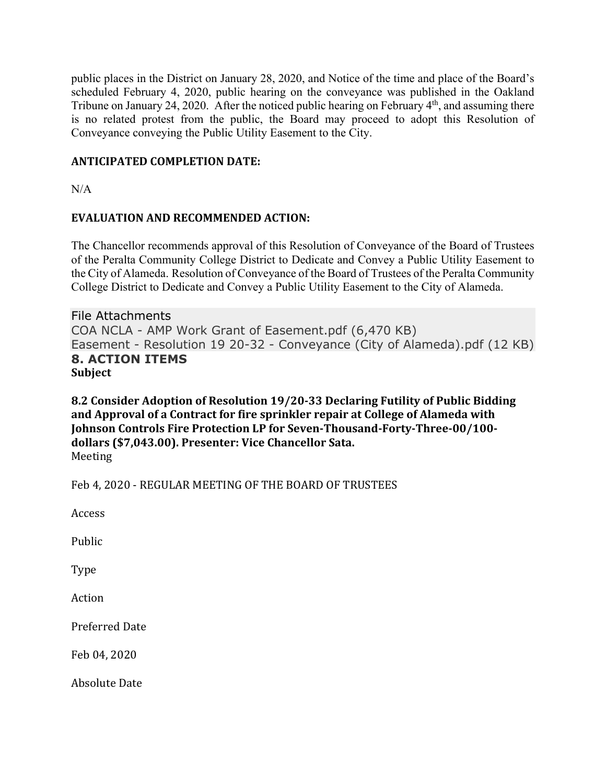public places in the District on January 28, 2020, and Notice of the time and place of the Board's scheduled February 4, 2020, public hearing on the conveyance was published in the Oakland Tribune on January 24, 2020. After the noticed public hearing on February 4<sup>th</sup>, and assuming there is no related protest from the public, the Board may proceed to adopt this Resolution of Conveyance conveying the Public Utility Easement to the City.

# **ANTICIPATED COMPLETION DATE:**

 $N/A$ 

# **EVALUATION AND RECOMMENDED ACTION:**

The Chancellor recommends approval of this Resolution of Conveyance of the Board of Trustees of the Peralta Community College District to Dedicate and Convey a Public Utility Easement to the City of Alameda. Resolution of Conveyance of the Board of Trustees of the Peralta Community College District to Dedicate and Convey a Public Utility Easement to the City of Alameda.

File Attachments COA NCLA - AMP Work Grant of Easement.pdf (6,470 KB) Easement - Resolution 19 20-32 - Conveyance (City of Alameda).pdf (12 KB) **8. ACTION ITEMS Subject**

**8.2 Consider Adoption of Resolution 19/20-33 Declaring Futility of Public Bidding** and Approval of a Contract for fire sprinkler repair at College of Alameda with **Johnson Controls Fire Protection LP for Seven-Thousand-Forty-Three-00/100dollars (\$7,043.00). Presenter: Vice Chancellor Sata.** Meeting

Feb 4, 2020 - REGULAR MEETING OF THE BOARD OF TRUSTEES

Access

Public

Type

Action

Preferred Date

Feb 04, 2020

Absolute Date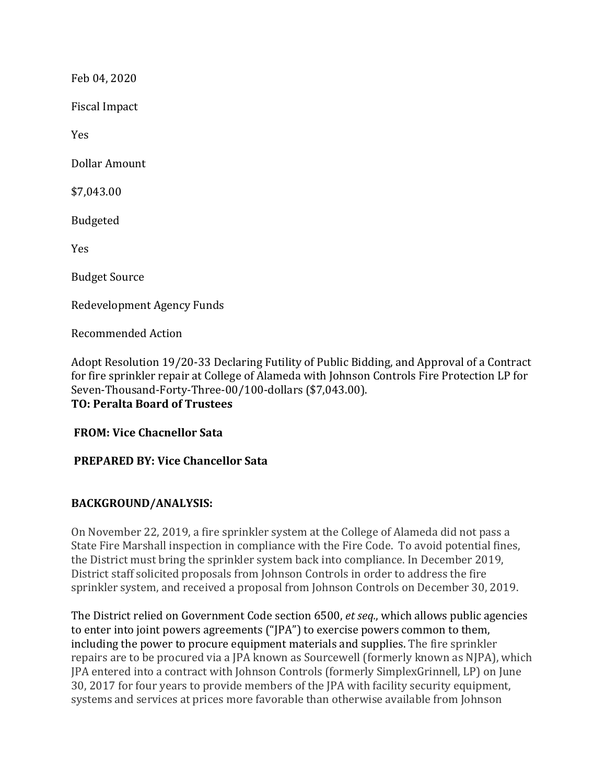Feb 04, 2020

Fiscal Impact

Yes

Dollar Amount

\$7,043.00

Budgeted

Yes

**Budget Source** 

Redevelopment Agency Funds

Recommended Action

Adopt Resolution 19/20-33 Declaring Futility of Public Bidding, and Approval of a Contract for fire sprinkler repair at College of Alameda with Johnson Controls Fire Protection LP for Seven-Thousand-Forty-Three-00/100-dollars (\$7,043.00). **TO: Peralta Board of Trustees**

**FROM: Vice Chacnellor Sata**

# **PREPARED BY: Vice Chancellor Sata**

# **BACKGROUND/ANALYSIS:**

On November 22, 2019, a fire sprinkler system at the College of Alameda did not pass a State Fire Marshall inspection in compliance with the Fire Code. To avoid potential fines, the District must bring the sprinkler system back into compliance. In December 2019, District staff solicited proposals from Johnson Controls in order to address the fire sprinkler system, and received a proposal from Johnson Controls on December 30, 2019.

The District relied on Government Code section 6500, *et seq.*, which allows public agencies to enter into joint powers agreements ("JPA") to exercise powers common to them, including the power to procure equipment materials and supplies. The fire sprinkler repairs are to be procured via a JPA known as Sourcewell (formerly known as NJPA), which JPA entered into a contract with Johnson Controls (formerly SimplexGrinnell, LP) on June 30, 2017 for four years to provide members of the JPA with facility security equipment, systems and services at prices more favorable than otherwise available from Johnson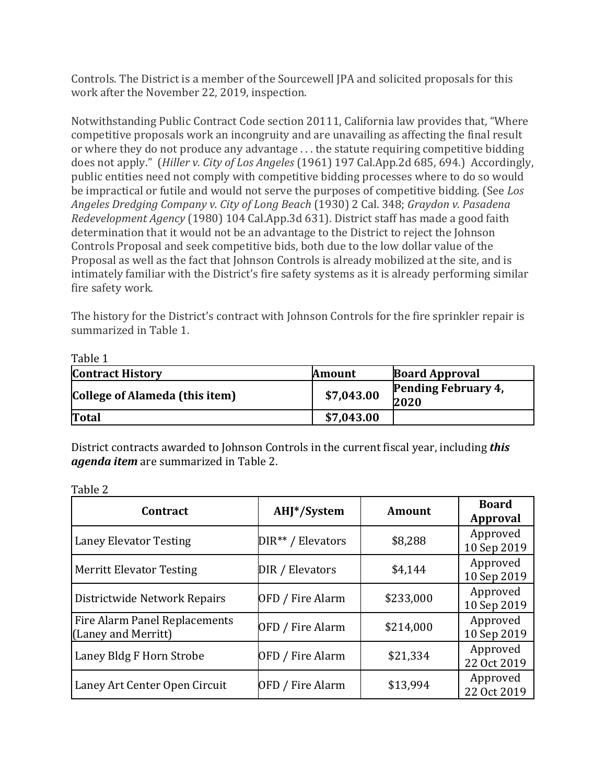Controls. The District is a member of the Sourcewell JPA and solicited proposals for this work after the November 22, 2019, inspection.

Notwithstanding Public Contract Code section 20111, California law provides that, "Where competitive proposals work an incongruity and are unavailing as affecting the final result or where they do not produce any advantage . . . the statute requiring competitive bidding does not apply." (*Hiller v. City of Los Angeles* (1961) 197 Cal.App.2d 685, 694.) Accordingly, public entities need not comply with competitive bidding processes where to do so would be impractical or futile and would not serve the purposes of competitive bidding. (See *Los Angeles Dredging Company v. City of Long Beach* (1930) 2 Cal. 348; *Graydon v. Pasadena Redevelopment Agency* (1980) 104 Cal.App.3d 631). District staff has made a good faith determination that it would not be an advantage to the District to reject the Johnson Controls Proposal and seek competitive bids, both due to the low dollar value of the Proposal as well as the fact that Johnson Controls is already mobilized at the site, and is intimately familiar with the District's fire safety systems as it is already performing similar fire safety work.

The history for the District's contract with Johnson Controls for the fire sprinkler repair is summarized in Table 1.

| Taure 1<br><b>Contract History</b> | <b>Amount</b> | <b>Board Approval</b>       |
|------------------------------------|---------------|-----------------------------|
| College of Alameda (this item)     | \$7,043.00    | Pending February 4,<br>2020 |
| <b>Total</b>                       | \$7,043.00    |                             |

District contracts awarded to Johnson Controls in the current fiscal year, including *this agenda item* are summarized in Table 2.

| ani<br>۴ |  |
|----------|--|
|          |  |

Table 1

| <b>Contract</b>                                      | AHJ*/System         | <b>Amount</b> | <b>Board</b><br>Approval |
|------------------------------------------------------|---------------------|---------------|--------------------------|
| <b>Laney Elevator Testing</b>                        | $DIR** / Elevators$ | \$8,288       | Approved<br>10 Sep 2019  |
| <b>Merritt Elevator Testing</b>                      | DIR / Elevators     | \$4,144       | Approved<br>10 Sep 2019  |
| Districtwide Network Repairs                         | OFD / Fire Alarm    | \$233,000     | Approved<br>10 Sep 2019  |
| Fire Alarm Panel Replacements<br>(Laney and Merritt) | OFD / Fire Alarm    | \$214,000     | Approved<br>10 Sep 2019  |
| Laney Bldg F Horn Strobe                             | OFD / Fire Alarm    | \$21,334      | Approved<br>22 Oct 2019  |
| Laney Art Center Open Circuit                        | OFD / Fire Alarm    | \$13,994      | Approved<br>22 Oct 2019  |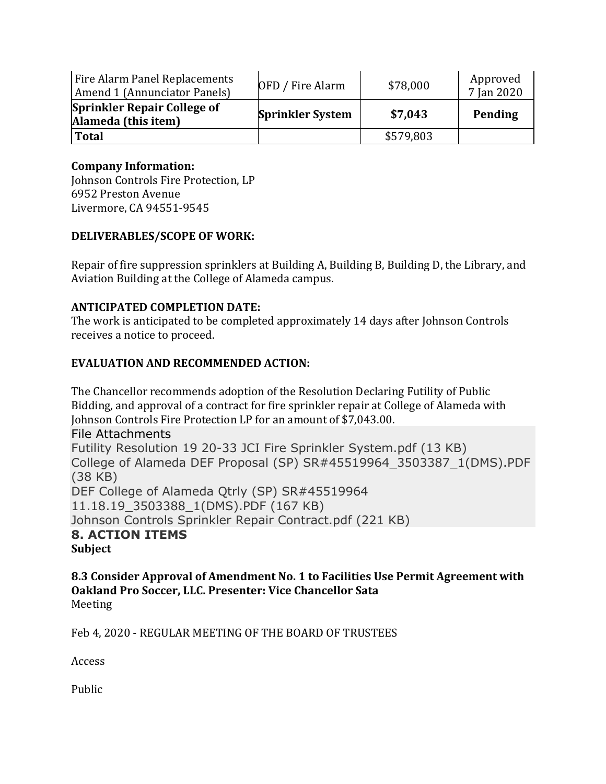| Fire Alarm Panel Replacements<br>Amend 1 (Annunciator Panels) | OFD / Fire Alarm        | \$78,000  | Approved<br>7 Jan 2020 |
|---------------------------------------------------------------|-------------------------|-----------|------------------------|
| <b>Sprinkler Repair College of</b><br>Alameda (this item)     | <b>Sprinkler System</b> | \$7,043   | Pending                |
| <b>Total</b>                                                  |                         | \$579,803 |                        |

# **Company Information:**

Johnson Controls Fire Protection, LP 6952 Preston Avenue Livermore, CA 94551-9545

#### **DELIVERABLES/SCOPE OF WORK:**

Repair of fire suppression sprinklers at Building A, Building B, Building D, the Library, and Aviation Building at the College of Alameda campus.

# **ANTICIPATED COMPLETION DATE:**

The work is anticipated to be completed approximately 14 days after Johnson Controls receives a notice to proceed.

#### **EVALUATION AND RECOMMENDED ACTION:**

The Chancellor recommends adoption of the Resolution Declaring Futility of Public Bidding, and approval of a contract for fire sprinkler repair at College of Alameda with Johnson Controls Fire Protection LP for an amount of \$7,043.00.

File Attachments

Futility Resolution 19 20-33 JCI Fire Sprinkler System.pdf (13 KB) College of Alameda DEF Proposal (SP) SR#45519964\_3503387\_1(DMS).PDF (38 KB) DEF College of Alameda Qtrly (SP) SR#45519964 11.18.19\_3503388\_1(DMS).PDF (167 KB) Johnson Controls Sprinkler Repair Contract.pdf (221 KB) **8. ACTION ITEMS Subject**

8.3 Consider Approval of Amendment No. 1 to Facilities Use Permit Agreement with **Oakland Pro Soccer, LLC. Presenter: Vice Chancellor Sata** Meeting

Feb 4, 2020 - REGULAR MEETING OF THE BOARD OF TRUSTEES

Access

Public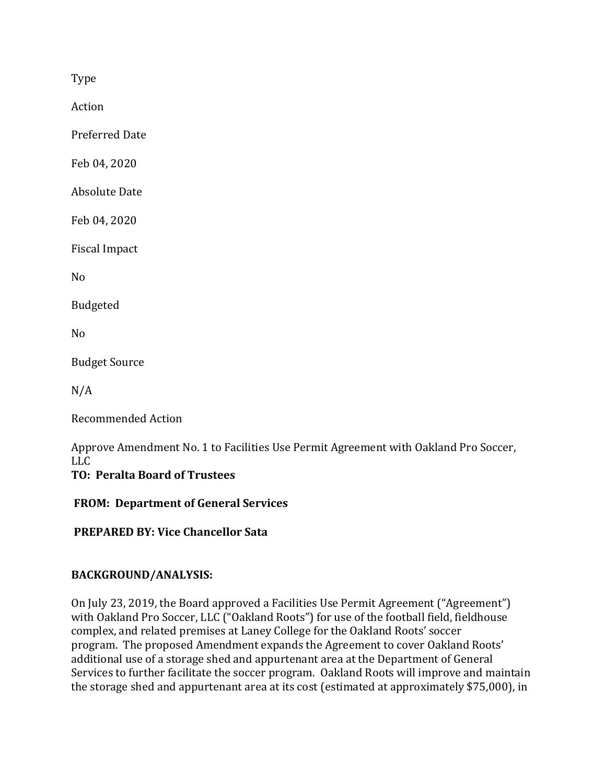Type

Action

Preferred Date

Feb 04, 2020

**Absolute Date** 

Feb 04, 2020

Fiscal Impact

No

Budgeted

No

**Budget Source** 

 $N/A$ 

Recommended Action

Approve Amendment No. 1 to Facilities Use Permit Agreement with Oakland Pro Soccer, LLC

# **TO: Peralta Board of Trustees**

**FROM: Department of General Services**

**PREPARED BY: Vice Chancellor Sata**

# **BACKGROUND/ANALYSIS:**

On July 23, 2019, the Board approved a Facilities Use Permit Agreement ("Agreement") with Oakland Pro Soccer, LLC ("Oakland Roots") for use of the football field, fieldhouse complex, and related premises at Laney College for the Oakland Roots' soccer program. The proposed Amendment expands the Agreement to cover Oakland Roots' additional use of a storage shed and appurtenant area at the Department of General Services to further facilitate the soccer program. Oakland Roots will improve and maintain the storage shed and appurtenant area at its cost (estimated at approximately \$75,000), in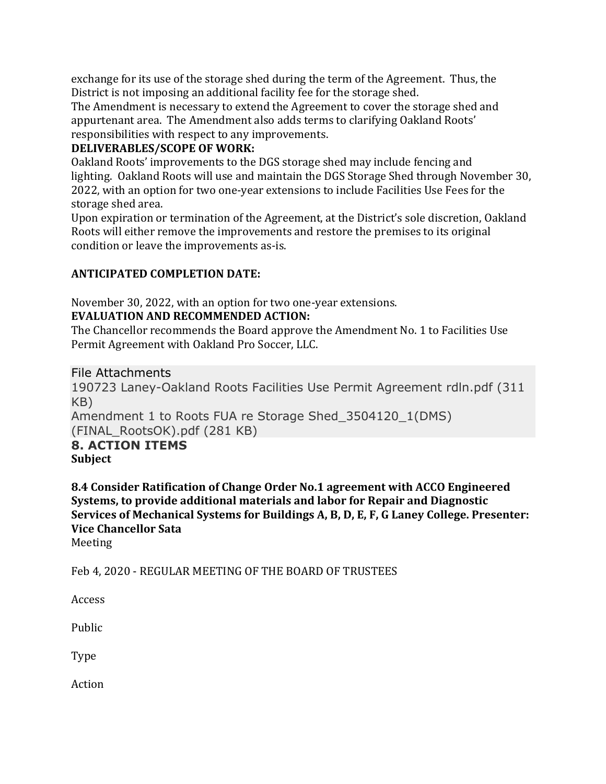exchange for its use of the storage shed during the term of the Agreement. Thus, the District is not imposing an additional facility fee for the storage shed.

The Amendment is necessary to extend the Agreement to cover the storage shed and appurtenant area. The Amendment also adds terms to clarifying Oakland Roots' responsibilities with respect to any improvements.

# **DELIVERABLES/SCOPE OF WORK:**

Oakland Roots' improvements to the DGS storage shed may include fencing and lighting. Oakland Roots will use and maintain the DGS Storage Shed through November 30, 2022, with an option for two one-year extensions to include Facilities Use Fees for the storage shed area.

Upon expiration or termination of the Agreement, at the District's sole discretion, Oakland Roots will either remove the improvements and restore the premises to its original condition or leave the improvements as-is.

# **ANTICIPATED COMPLETION DATE:**

November 30, 2022, with an option for two one-year extensions.

# **EVALUATION AND RECOMMENDED ACTION:**

The Chancellor recommends the Board approve the Amendment No. 1 to Facilities Use Permit Agreement with Oakland Pro Soccer, LLC.

File Attachments

190723 Laney-Oakland Roots Facilities Use Permit Agreement rdln.pdf (311 KB)

Amendment 1 to Roots FUA re Storage Shed\_3504120\_1(DMS) (FINAL\_RootsOK).pdf (281 KB)

#### **8. ACTION ITEMS Subject**

**8.4 Consider Ratification of Change Order No.1 agreement with ACCO Engineered Systems, to provide additional materials and labor for Repair and Diagnostic** Services of Mechanical Systems for Buildings A, B, D, E, F, G Laney College. Presenter: **Vice Chancellor Sata**

Meeting

Feb 4, 2020 - REGULAR MEETING OF THE BOARD OF TRUSTEES

Access

Public

Type

Action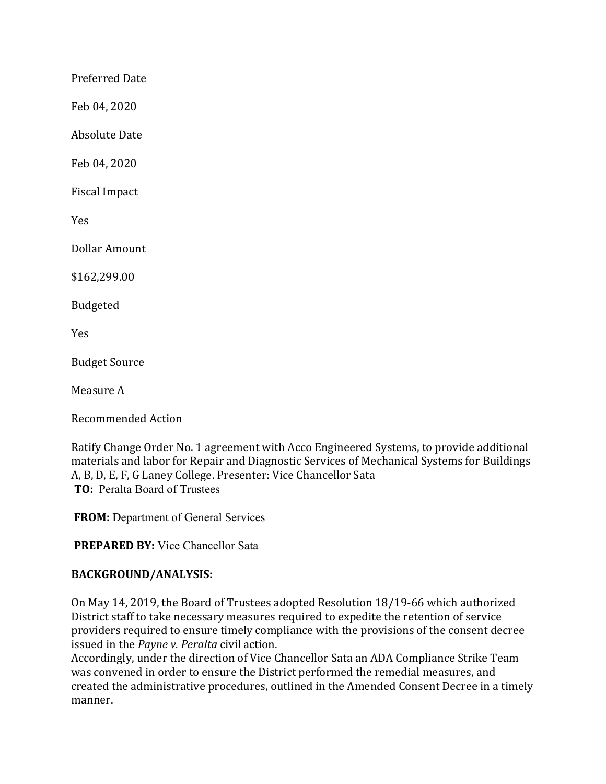Preferred Date

Feb 04, 2020

Absolute Date

Feb 04, 2020

Fiscal Impact

Yes

Dollar Amount

\$162,299.00

Budgeted

Yes

**Budget Source** 

Measure A

Recommended Action

Ratify Change Order No. 1 agreement with Acco Engineered Systems, to provide additional materials and labor for Repair and Diagnostic Services of Mechanical Systems for Buildings A, B, D, E, F, G Laney College. Presenter: Vice Chancellor Sata **TO:** Peralta Board of Trustees

**FROM:** Department of General Services

**PREPARED BY:** Vice Chancellor Sata

#### **BACKGROUND/ANALYSIS:**

On May 14, 2019, the Board of Trustees adopted Resolution 18/19-66 which authorized District staff to take necessary measures required to expedite the retention of service providers required to ensure timely compliance with the provisions of the consent decree issued in the *Payne v. Peralta* civil action.

Accordingly, under the direction of Vice Chancellor Sata an ADA Compliance Strike Team was convened in order to ensure the District performed the remedial measures, and created the administrative procedures, outlined in the Amended Consent Decree in a timely manner.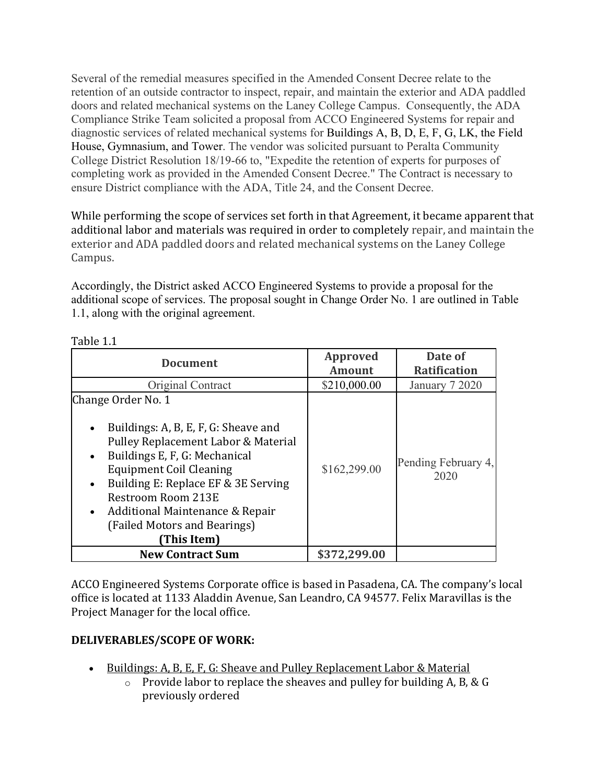Several of the remedial measures specified in the Amended Consent Decree relate to the retention of an outside contractor to inspect, repair, and maintain the exterior and ADA paddled doors and related mechanical systems on the Laney College Campus. Consequently, the ADA Compliance Strike Team solicited a proposal from ACCO Engineered Systems for repair and diagnostic services of related mechanical systems for Buildings A, B, D, E, F, G, LK, the Field House, Gymnasium, and Tower. The vendor was solicited pursuant to Peralta Community College District Resolution 18/19-66 to, "Expedite the retention of experts for purposes of completing work as provided in the Amended Consent Decree." The Contract is necessary to ensure District compliance with the ADA, Title 24, and the Consent Decree.

While performing the scope of services set forth in that Agreement, it became apparent that additional labor and materials was required in order to completely repair, and maintain the exterior and ADA paddled doors and related mechanical systems on the Laney College Campus.

Accordingly, the District asked ACCO Engineered Systems to provide a proposal for the additional scope of services. The proposal sought in Change Order No. 1 are outlined in Table 1.1, along with the original agreement.

| <b>Document</b>                                                                                                                                                                                                                                                                                                                                                         | <b>Approved</b><br><b>Amount</b> | Date of<br><b>Ratification</b> |
|-------------------------------------------------------------------------------------------------------------------------------------------------------------------------------------------------------------------------------------------------------------------------------------------------------------------------------------------------------------------------|----------------------------------|--------------------------------|
| Original Contract                                                                                                                                                                                                                                                                                                                                                       | \$210,000.00                     | January 7 2020                 |
| Change Order No. 1<br>Buildings: A, B, E, F, G: Sheave and<br>$\bullet$<br>Pulley Replacement Labor & Material<br>Buildings E, F, G: Mechanical<br>$\bullet$<br><b>Equipment Coil Cleaning</b><br>Building E: Replace EF & 3E Serving<br>$\bullet$<br>Restroom Room 213E<br>Additional Maintenance & Repair<br>$\bullet$<br>(Failed Motors and Bearings)<br>(This Item) | \$162,299.00                     | Pending February 4,<br>2020    |
| <b>New Contract Sum</b>                                                                                                                                                                                                                                                                                                                                                 | \$372,299.00                     |                                |

Table 1.1

ACCO Engineered Systems Corporate office is based in Pasadena, CA. The company's local office is located at 1133 Aladdin Avenue, San Leandro, CA 94577. Felix Maravillas is the Project Manager for the local office.

# **DELIVERABLES/SCOPE OF WORK:**

- Buildings: A, B, E, F, G: Sheave and Pulley Replacement Labor & Material
	- o Provide labor to replace the sheaves and pulley for building A, B, & G previously ordered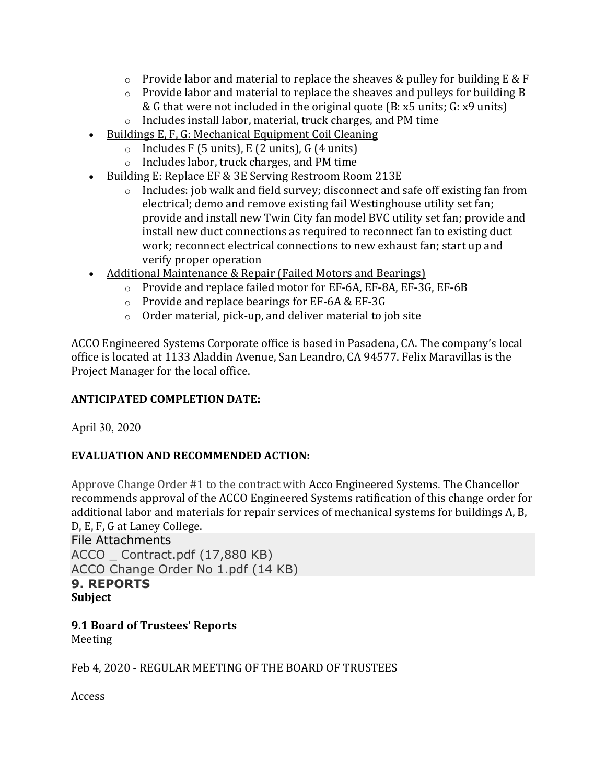- $\circ$  Provide labor and material to replace the sheaves & pulley for building E & F
- o Provide labor and material to replace the sheaves and pulleys for building B & G that were not included in the original quote (B: x5 units; G: x9 units)
- o Includes install labor, material, truck charges, and PM time
- Buildings E, F, G: Mechanical Equipment Coil Cleaning
	- $\circ$  Includes F (5 units), E (2 units), G (4 units)
	- o Includes labor, truck charges, and PM time
- Building E: Replace EF & 3E Serving Restroom Room 213E
	- o Includes: job walk and field survey; disconnect and safe off existing fan from electrical; demo and remove existing fail Westinghouse utility set fan; provide and install new Twin City fan model BVC utility set fan; provide and install new duct connections as required to reconnect fan to existing duct work; reconnect electrical connections to new exhaust fan; start up and verify proper operation
- Additional Maintenance & Repair (Failed Motors and Bearings)
	- o Provide and replace failed motor for EF-6A, EF-8A, EF-3G, EF-6B
	- o Provide and replace bearings for EF-6A & EF-3G
	- o Order material, pick-up, and deliver material to job site

ACCO Engineered Systems Corporate office is based in Pasadena, CA. The company's local office is located at 1133 Aladdin Avenue, San Leandro, CA 94577. Felix Maravillas is the Project Manager for the local office.

# **ANTICIPATED COMPLETION DATE:**

April 30, 2020

# **EVALUATION AND RECOMMENDED ACTION:**

Approve Change Order #1 to the contract with Acco Engineered Systems. The Chancellor recommends approval of the ACCO Engineered Systems ratification of this change order for additional labor and materials for repair services of mechanical systems for buildings A, B, D, E, F, G at Laney College.

File Attachments ACCO \_ Contract.pdf (17,880 KB) ACCO Change Order No 1.pdf (14 KB) **9. REPORTS Subject**

#### **9.1 Board of Trustees' Reports** Meeting

Feb 4, 2020 - REGULAR MEETING OF THE BOARD OF TRUSTEES

Access